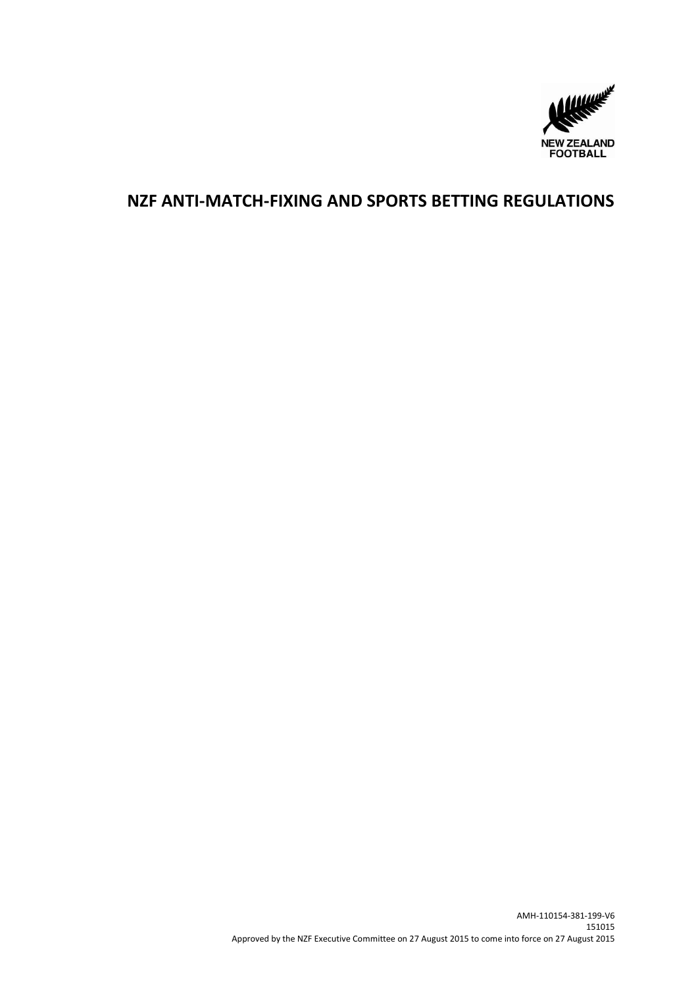

# **NZF ANTI-MATCH-FIXING AND SPORTS BETTING REGULATIONS**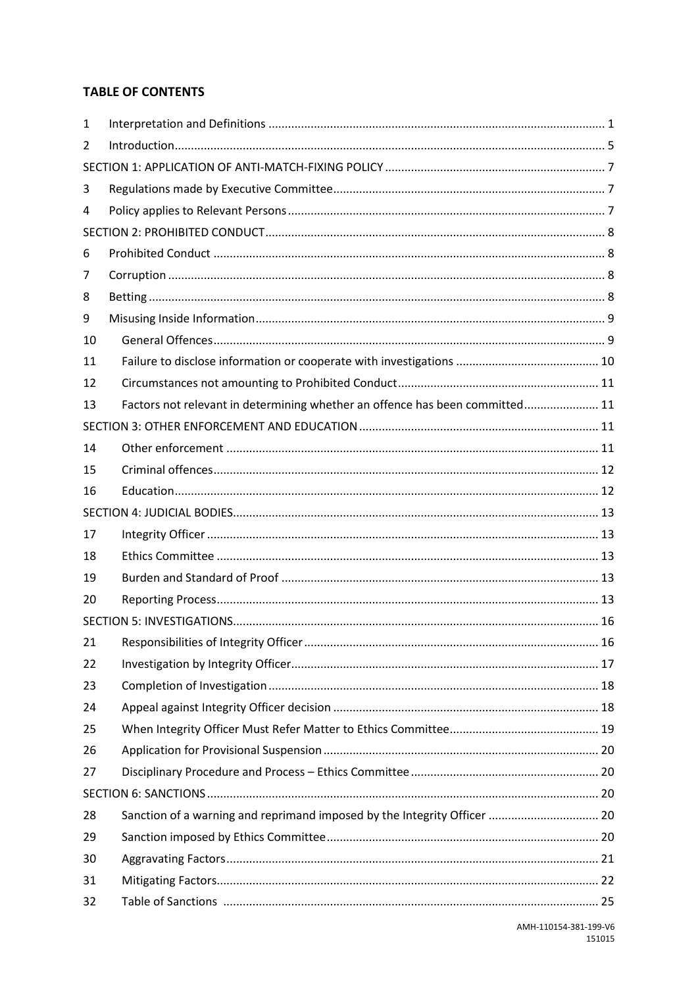### **TABLE OF CONTENTS**

| 1  |                                                                              |  |  |  |  |  |
|----|------------------------------------------------------------------------------|--|--|--|--|--|
| 2  |                                                                              |  |  |  |  |  |
|    |                                                                              |  |  |  |  |  |
| 3  |                                                                              |  |  |  |  |  |
| 4  |                                                                              |  |  |  |  |  |
|    |                                                                              |  |  |  |  |  |
| 6  |                                                                              |  |  |  |  |  |
| 7  |                                                                              |  |  |  |  |  |
| 8  |                                                                              |  |  |  |  |  |
| 9  |                                                                              |  |  |  |  |  |
| 10 |                                                                              |  |  |  |  |  |
| 11 |                                                                              |  |  |  |  |  |
| 12 |                                                                              |  |  |  |  |  |
| 13 | Factors not relevant in determining whether an offence has been committed 11 |  |  |  |  |  |
|    |                                                                              |  |  |  |  |  |
| 14 |                                                                              |  |  |  |  |  |
| 15 |                                                                              |  |  |  |  |  |
| 16 |                                                                              |  |  |  |  |  |
|    |                                                                              |  |  |  |  |  |
| 17 |                                                                              |  |  |  |  |  |
| 18 |                                                                              |  |  |  |  |  |
| 19 |                                                                              |  |  |  |  |  |
| 20 |                                                                              |  |  |  |  |  |
|    |                                                                              |  |  |  |  |  |
| 21 |                                                                              |  |  |  |  |  |
| 22 |                                                                              |  |  |  |  |  |
| 23 |                                                                              |  |  |  |  |  |
| 24 |                                                                              |  |  |  |  |  |
| 25 |                                                                              |  |  |  |  |  |
| 26 |                                                                              |  |  |  |  |  |
| 27 |                                                                              |  |  |  |  |  |
|    |                                                                              |  |  |  |  |  |
| 28 | Sanction of a warning and reprimand imposed by the Integrity Officer  20     |  |  |  |  |  |
| 29 |                                                                              |  |  |  |  |  |
| 30 |                                                                              |  |  |  |  |  |
| 31 |                                                                              |  |  |  |  |  |
| 32 |                                                                              |  |  |  |  |  |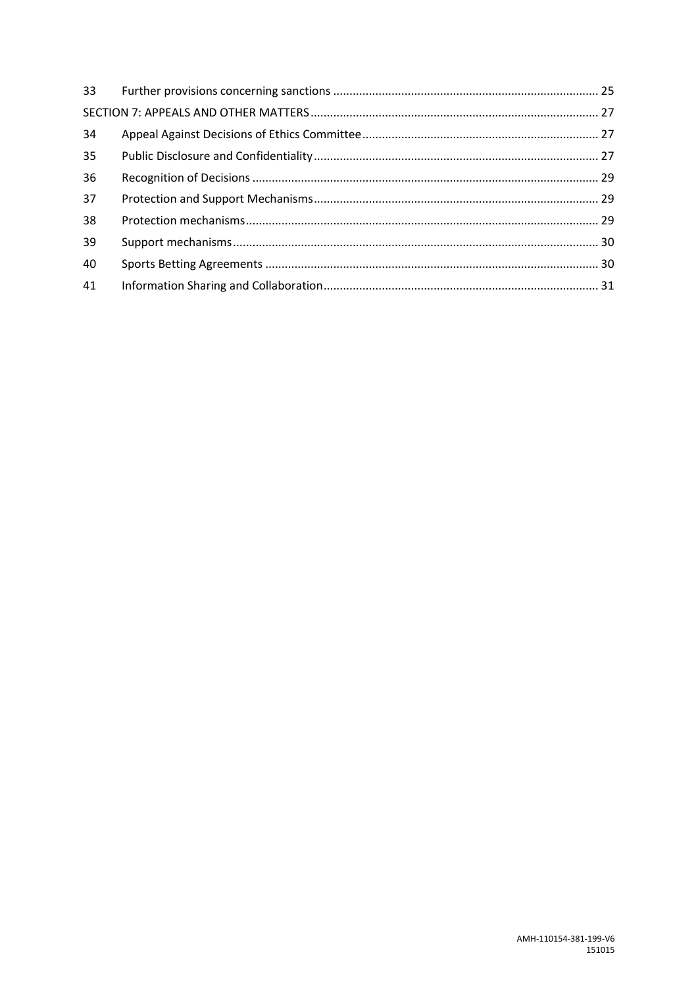| 34 |  |  |  |  |
|----|--|--|--|--|
| 35 |  |  |  |  |
| 36 |  |  |  |  |
| 37 |  |  |  |  |
| 38 |  |  |  |  |
| 39 |  |  |  |  |
| 40 |  |  |  |  |
| 41 |  |  |  |  |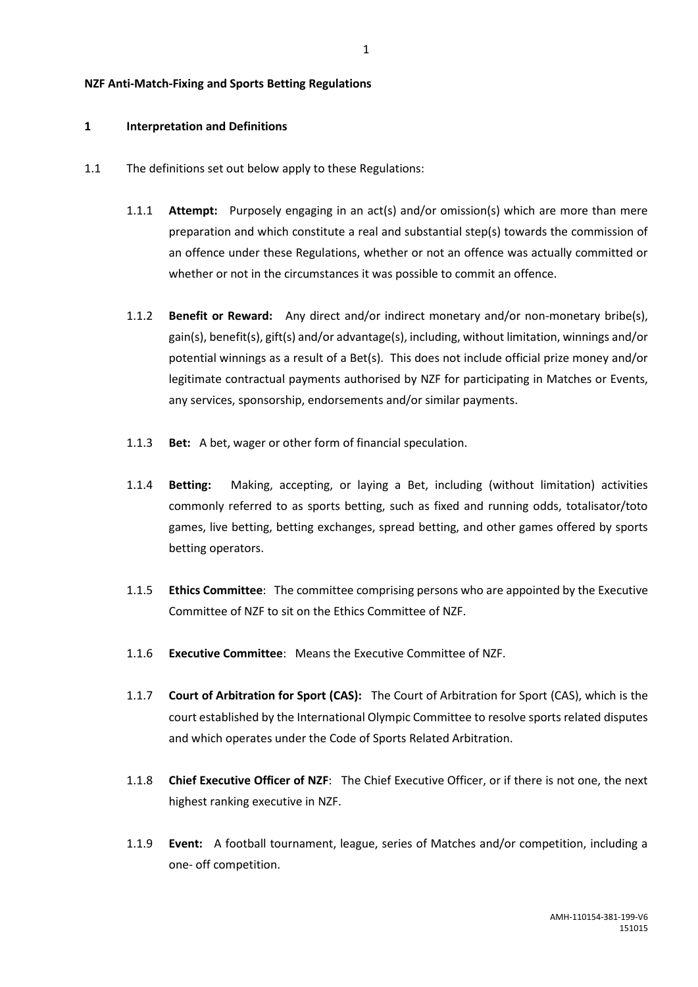#### **NZF Anti-Match-Fixing and Sports Betting Regulations**

#### <span id="page-3-0"></span>**1 Interpretation and Definitions**

- 1.1 The definitions set out below apply to these Regulations:
	- 1.1.1 **Attempt:** Purposely engaging in an act(s) and/or omission(s) which are more than mere preparation and which constitute a real and substantial step(s) towards the commission of an offence under these Regulations, whether or not an offence was actually committed or whether or not in the circumstances it was possible to commit an offence.
	- 1.1.2 **Benefit or Reward:** Any direct and/or indirect monetary and/or non-monetary bribe(s), gain(s), benefit(s), gift(s) and/or advantage(s), including, without limitation, winnings and/or potential winnings as a result of a Bet(s). This does not include official prize money and/or legitimate contractual payments authorised by NZF for participating in Matches or Events, any services, sponsorship, endorsements and/or similar payments.
	- 1.1.3 **Bet:** A bet, wager or other form of financial speculation.
	- 1.1.4 **Betting:** Making, accepting, or laying a Bet, including (without limitation) activities commonly referred to as sports betting, such as fixed and running odds, totalisator/toto games, live betting, betting exchanges, spread betting, and other games offered by sports betting operators.
	- 1.1.5 **Ethics Committee**: The committee comprising persons who are appointed by the Executive Committee of NZF to sit on the Ethics Committee of NZF.
	- 1.1.6 **Executive Committee**: Means the Executive Committee of NZF.
	- 1.1.7 **Court of Arbitration for Sport (CAS):** The Court of Arbitration for Sport (CAS), which is the court established by the International Olympic Committee to resolve sports related disputes and which operates under the Code of Sports Related Arbitration.
	- 1.1.8 **Chief Executive Officer of NZF**: The Chief Executive Officer, or if there is not one, the next highest ranking executive in NZF.
	- 1.1.9 **Event:** A football tournament, league, series of Matches and/or competition, including a one- off competition.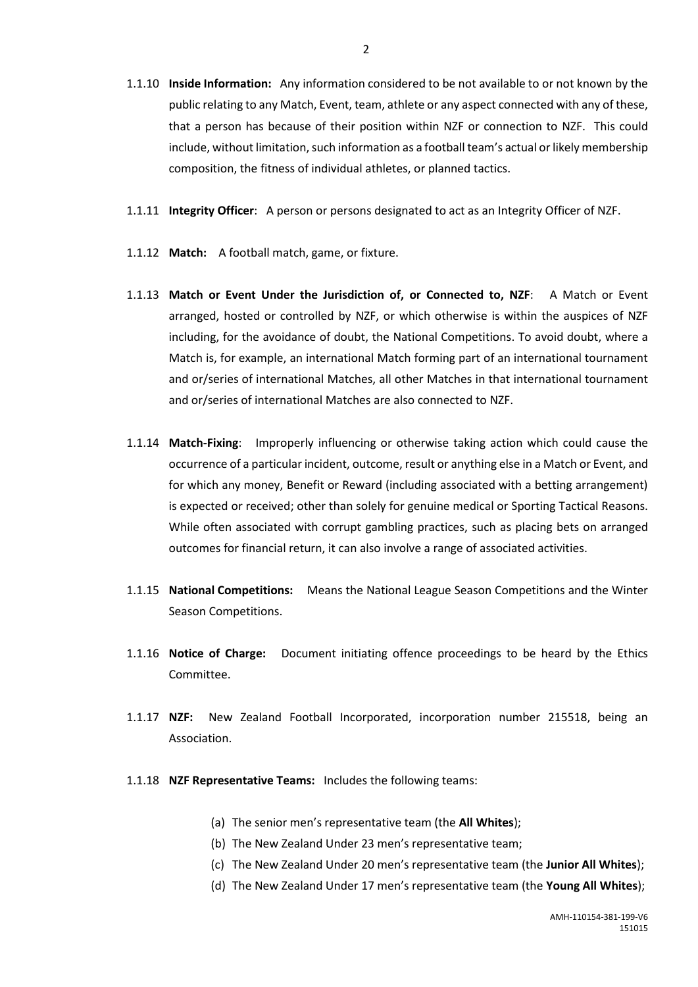- 1.1.10 **Inside Information:** Any information considered to be not available to or not known by the public relating to any Match, Event, team, athlete or any aspect connected with any of these, that a person has because of their position within NZF or connection to NZF. This could include, without limitation, such information as a football team's actual or likely membership composition, the fitness of individual athletes, or planned tactics.
- 1.1.11 **Integrity Officer**: A person or persons designated to act as an Integrity Officer of NZF.
- 1.1.12 **Match:** A football match, game, or fixture.
- 1.1.13 **Match or Event Under the Jurisdiction of, or Connected to, NZF**: A Match or Event arranged, hosted or controlled by NZF, or which otherwise is within the auspices of NZF including, for the avoidance of doubt, the National Competitions. To avoid doubt, where a Match is, for example, an international Match forming part of an international tournament and or/series of international Matches, all other Matches in that international tournament and or/series of international Matches are also connected to NZF.
- 1.1.14 **Match-Fixing**: Improperly influencing or otherwise taking action which could cause the occurrence of a particular incident, outcome, result or anything else in a Match or Event, and for which any money, Benefit or Reward (including associated with a betting arrangement) is expected or received; other than solely for genuine medical or Sporting Tactical Reasons. While often associated with corrupt gambling practices, such as placing bets on arranged outcomes for financial return, it can also involve a range of associated activities.
- 1.1.15 **National Competitions:** Means the National League Season Competitions and the Winter Season Competitions.
- 1.1.16 **Notice of Charge:** Document initiating offence proceedings to be heard by the Ethics Committee.
- 1.1.17 **NZF:** New Zealand Football Incorporated, incorporation number 215518, being an Association.
- 1.1.18 **NZF Representative Teams:** Includes the following teams:
	- (a) The senior men's representative team (the **All Whites**);
	- (b) The New Zealand Under 23 men's representative team;
	- (c) The New Zealand Under 20 men's representative team (the **Junior All Whites**);
	- (d) The New Zealand Under 17 men's representative team (the **Young All Whites**);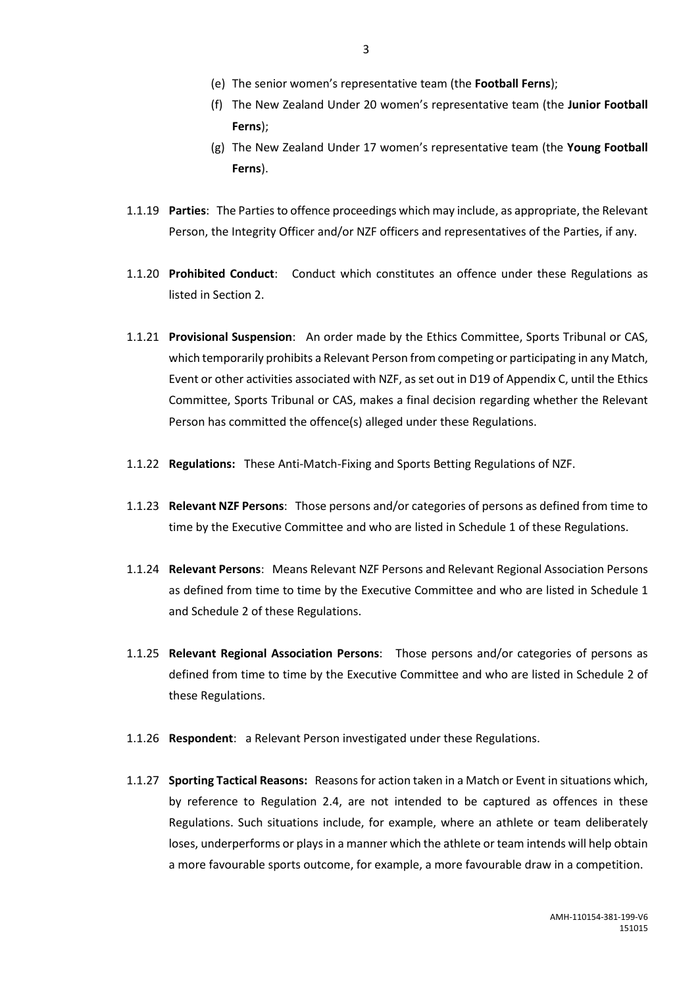- (e) The senior women's representative team (the **Football Ferns**);
- (f) The New Zealand Under 20 women's representative team (the **Junior Football Ferns**);
- (g) The New Zealand Under 17 women's representative team (the **Young Football Ferns**).
- 1.1.19 **Parties**: The Parties to offence proceedings which may include, as appropriate, the Relevant Person, the Integrity Officer and/or NZF officers and representatives of the Parties, if any.
- 1.1.20 **Prohibited Conduct**: Conduct which constitutes an offence under these Regulations as listed in Section 2.
- 1.1.21 **Provisional Suspension**: An order made by the Ethics Committee, Sports Tribunal or CAS, which temporarily prohibits a Relevant Person from competing or participating in any Match, Event or other activities associated with NZF, as set out in D19 of Appendix C, until the Ethics Committee, Sports Tribunal or CAS, makes a final decision regarding whether the Relevant Person has committed the offence(s) alleged under these Regulations.
- 1.1.22 **Regulations:** These Anti-Match-Fixing and Sports Betting Regulations of NZF.
- 1.1.23 **Relevant NZF Persons**: Those persons and/or categories of persons as defined from time to time by the Executive Committee and who are listed in Schedule 1 of these Regulations.
- 1.1.24 **Relevant Persons**: Means Relevant NZF Persons and Relevant Regional Association Persons as defined from time to time by the Executive Committee and who are listed in Schedule 1 and Schedule 2 of these Regulations.
- 1.1.25 **Relevant Regional Association Persons**: Those persons and/or categories of persons as defined from time to time by the Executive Committee and who are listed in Schedule 2 of these Regulations.
- 1.1.26 **Respondent**:a Relevant Person investigated under these Regulations.
- 1.1.27 **Sporting Tactical Reasons:** Reasons for action taken in a Match or Event in situations which, by reference to Regulation 2.4, are not intended to be captured as offences in these Regulations. Such situations include, for example, where an athlete or team deliberately loses, underperforms or plays in a manner which the athlete or team intends will help obtain a more favourable sports outcome, for example, a more favourable draw in a competition.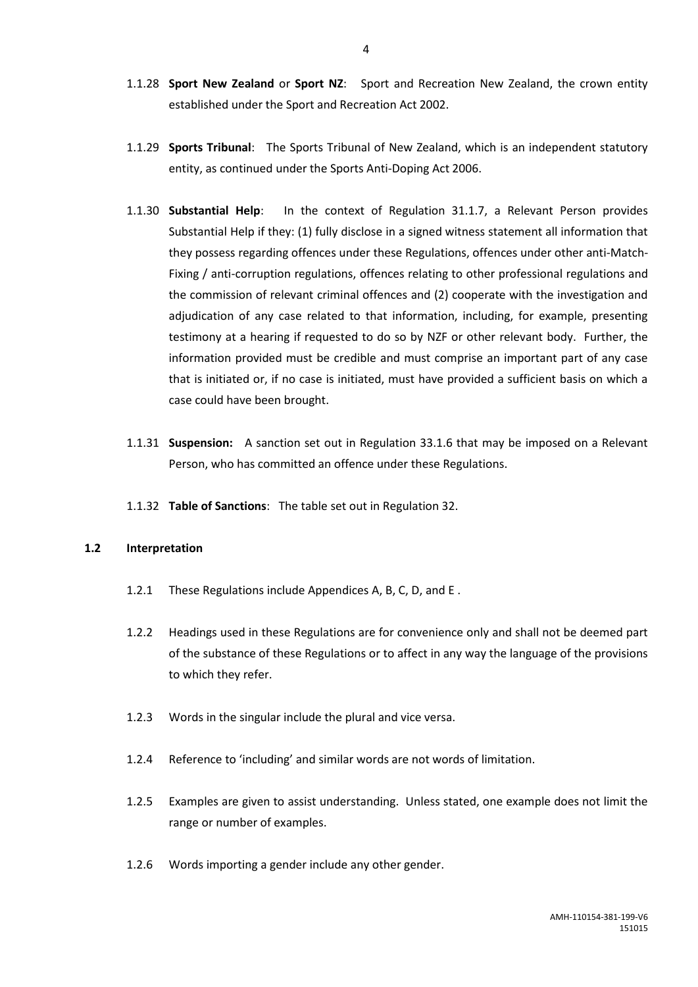- 1.1.28 **Sport New Zealand** or **Sport NZ**: Sport and Recreation New Zealand, the crown entity established under the Sport and Recreation Act 2002.
- 1.1.29 **Sports Tribunal**: The Sports Tribunal of New Zealand, which is an independent statutory entity, as continued under the Sports Anti-Doping Act 2006.
- 1.1.30 **Substantial Help**: In the context of Regulation 31.1.7, a Relevant Person provides Substantial Help if they: (1) fully disclose in a signed witness statement all information that they possess regarding offences under these Regulations, offences under other anti-Match-Fixing / anti-corruption regulations, offences relating to other professional regulations and the commission of relevant criminal offences and (2) cooperate with the investigation and adjudication of any case related to that information, including, for example, presenting testimony at a hearing if requested to do so by NZF or other relevant body. Further, the information provided must be credible and must comprise an important part of any case that is initiated or, if no case is initiated, must have provided a sufficient basis on which a case could have been brought.
- 1.1.31 **Suspension:** A sanction set out in Regulation 33.1.6 that may be imposed on a Relevant Person, who has committed an offence under these Regulations.
- 1.1.32 **Table of Sanctions**: The table set out in Regulation 32.

### **1.2 Interpretation**

- 1.2.1 These Regulations include Appendices A, B, C, D, and E .
- 1.2.2 Headings used in these Regulations are for convenience only and shall not be deemed part of the substance of these Regulations or to affect in any way the language of the provisions to which they refer.
- 1.2.3 Words in the singular include the plural and vice versa.
- 1.2.4 Reference to 'including' and similar words are not words of limitation.
- 1.2.5 Examples are given to assist understanding. Unless stated, one example does not limit the range or number of examples.
- 1.2.6 Words importing a gender include any other gender.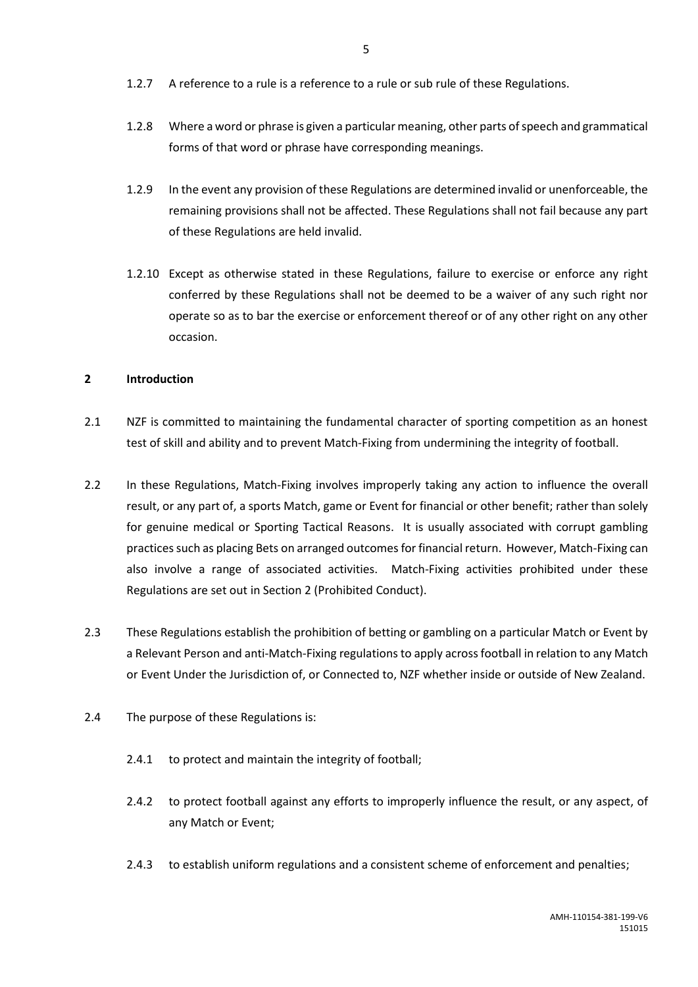- 1.2.7 A reference to a rule is a reference to a rule or sub rule of these Regulations.
- 1.2.8 Where a word or phrase is given a particular meaning, other parts of speech and grammatical forms of that word or phrase have corresponding meanings.
- 1.2.9 In the event any provision of these Regulations are determined invalid or unenforceable, the remaining provisions shall not be affected. These Regulations shall not fail because any part of these Regulations are held invalid.
- 1.2.10 Except as otherwise stated in these Regulations, failure to exercise or enforce any right conferred by these Regulations shall not be deemed to be a waiver of any such right nor operate so as to bar the exercise or enforcement thereof or of any other right on any other occasion.

### <span id="page-7-0"></span>**2 Introduction**

- 2.1 NZF is committed to maintaining the fundamental character of sporting competition as an honest test of skill and ability and to prevent Match-Fixing from undermining the integrity of football.
- 2.2 In these Regulations, Match-Fixing involves improperly taking any action to influence the overall result, or any part of, a sports Match, game or Event for financial or other benefit; rather than solely for genuine medical or Sporting Tactical Reasons. It is usually associated with corrupt gambling practices such as placing Bets on arranged outcomes for financial return. However, Match-Fixing can also involve a range of associated activities. Match-Fixing activities prohibited under these Regulations are set out in Section 2 (Prohibited Conduct).
- 2.3 These Regulations establish the prohibition of betting or gambling on a particular Match or Event by a Relevant Person and anti-Match-Fixing regulations to apply across football in relation to any Match or Event Under the Jurisdiction of, or Connected to, NZF whether inside or outside of New Zealand.
- 2.4 The purpose of these Regulations is:
	- 2.4.1 to protect and maintain the integrity of football;
	- 2.4.2 to protect football against any efforts to improperly influence the result, or any aspect, of any Match or Event;
	- 2.4.3 to establish uniform regulations and a consistent scheme of enforcement and penalties;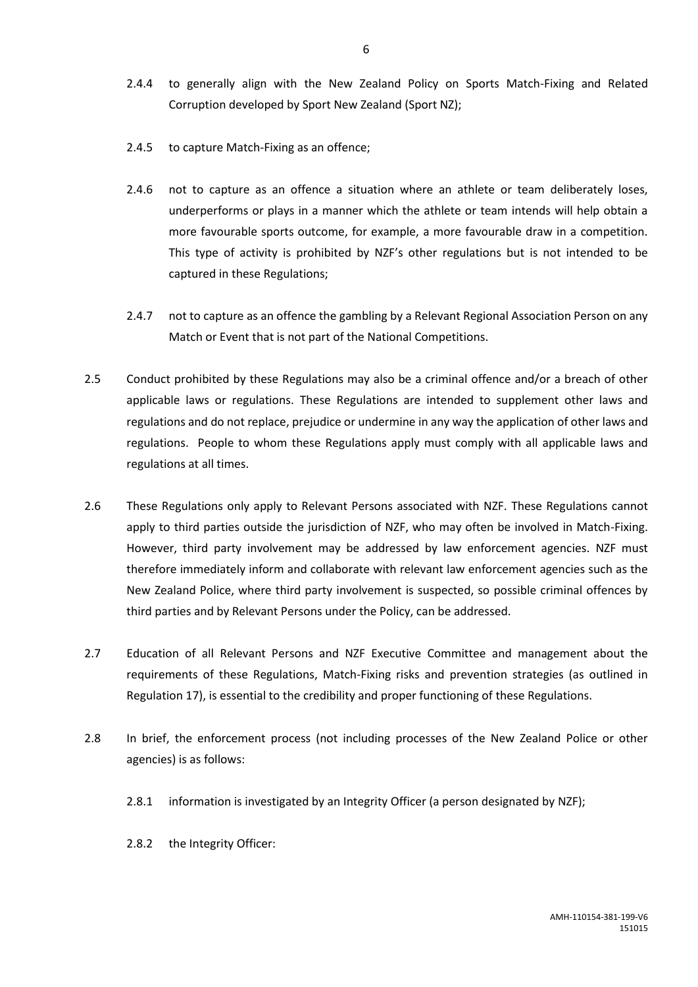- 2.4.4 to generally align with the New Zealand Policy on Sports Match-Fixing and Related Corruption developed by Sport New Zealand (Sport NZ);
- 2.4.5 to capture Match-Fixing as an offence;
- 2.4.6 not to capture as an offence a situation where an athlete or team deliberately loses, underperforms or plays in a manner which the athlete or team intends will help obtain a more favourable sports outcome, for example, a more favourable draw in a competition. This type of activity is prohibited by NZF's other regulations but is not intended to be captured in these Regulations;
- 2.4.7 not to capture as an offence the gambling by a Relevant Regional Association Person on any Match or Event that is not part of the National Competitions.
- 2.5 Conduct prohibited by these Regulations may also be a criminal offence and/or a breach of other applicable laws or regulations. These Regulations are intended to supplement other laws and regulations and do not replace, prejudice or undermine in any way the application of other laws and regulations. People to whom these Regulations apply must comply with all applicable laws and regulations at all times.
- 2.6 These Regulations only apply to Relevant Persons associated with NZF. These Regulations cannot apply to third parties outside the jurisdiction of NZF, who may often be involved in Match-Fixing. However, third party involvement may be addressed by law enforcement agencies. NZF must therefore immediately inform and collaborate with relevant law enforcement agencies such as the New Zealand Police, where third party involvement is suspected, so possible criminal offences by third parties and by Relevant Persons under the Policy, can be addressed.
- 2.7 Education of all Relevant Persons and NZF Executive Committee and management about the requirements of these Regulations, Match-Fixing risks and prevention strategies (as outlined in Regulation 17), is essential to the credibility and proper functioning of these Regulations.
- 2.8 In brief, the enforcement process (not including processes of the New Zealand Police or other agencies) is as follows:
	- 2.8.1 information is investigated by an Integrity Officer (a person designated by NZF);
	- 2.8.2 the Integrity Officer: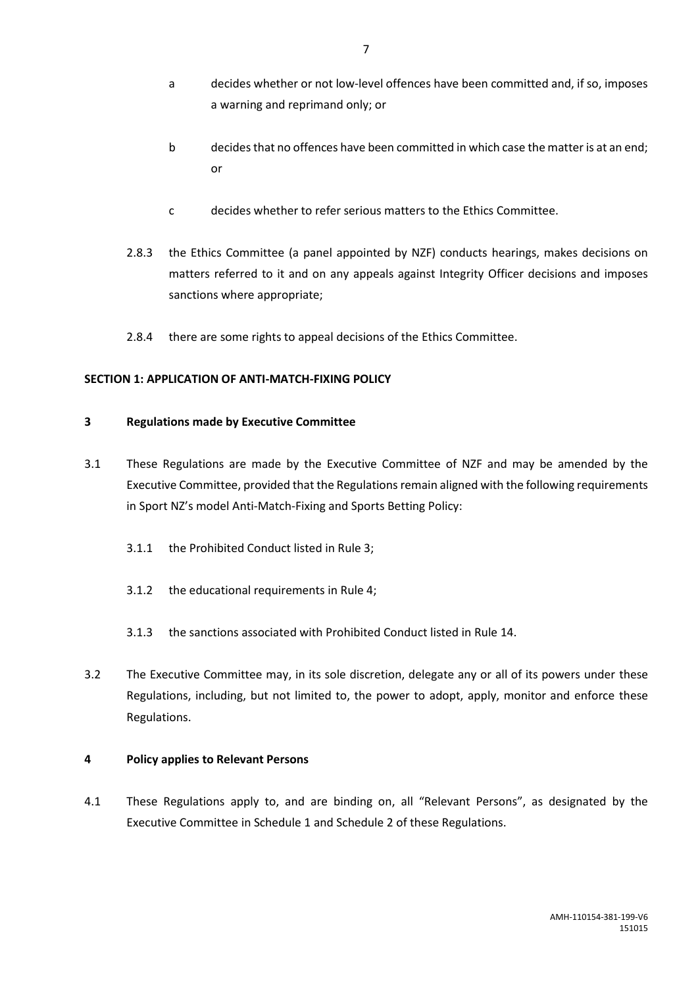- b decides that no offences have been committed in which case the matter is at an end; or
- c decides whether to refer serious matters to the Ethics Committee.
- 2.8.3 the Ethics Committee (a panel appointed by NZF) conducts hearings, makes decisions on matters referred to it and on any appeals against Integrity Officer decisions and imposes sanctions where appropriate;
- 2.8.4 there are some rights to appeal decisions of the Ethics Committee.

### <span id="page-9-0"></span>**SECTION 1: APPLICATION OF ANTI-MATCH-FIXING POLICY**

### <span id="page-9-1"></span>**3 Regulations made by Executive Committee**

- 3.1 These Regulations are made by the Executive Committee of NZF and may be amended by the Executive Committee, provided that the Regulations remain aligned with the following requirements in Sport NZ's model Anti-Match-Fixing and Sports Betting Policy:
	- 3.1.1 the Prohibited Conduct listed in Rule 3;
	- 3.1.2 the educational requirements in Rule 4;
	- 3.1.3 the sanctions associated with Prohibited Conduct listed in Rule 14.
- 3.2 The Executive Committee may, in its sole discretion, delegate any or all of its powers under these Regulations, including, but not limited to, the power to adopt, apply, monitor and enforce these Regulations.

### <span id="page-9-2"></span>**4 Policy applies to Relevant Persons**

4.1 These Regulations apply to, and are binding on, all "Relevant Persons", as designated by the Executive Committee in Schedule 1 and Schedule 2 of these Regulations.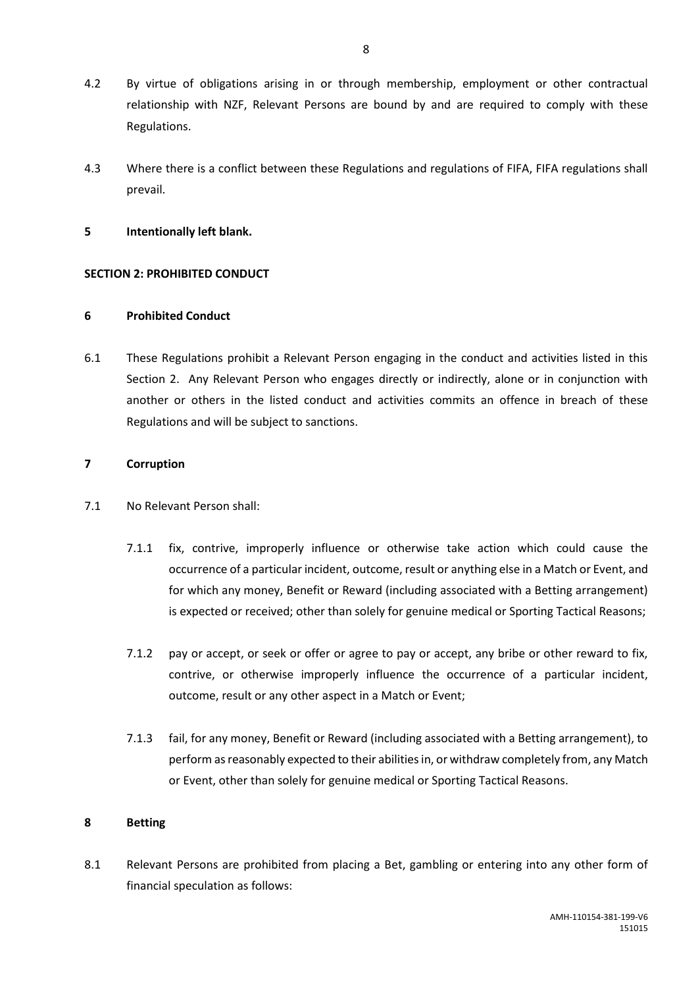- 4.2 By virtue of obligations arising in or through membership, employment or other contractual relationship with NZF, Relevant Persons are bound by and are required to comply with these Regulations.
- 4.3 Where there is a conflict between these Regulations and regulations of FIFA, FIFA regulations shall prevail.

#### **5 Intentionally left blank.**

#### <span id="page-10-0"></span>**SECTION 2: PROHIBITED CONDUCT**

#### <span id="page-10-1"></span>**6 Prohibited Conduct**

6.1 These Regulations prohibit a Relevant Person engaging in the conduct and activities listed in this Section 2. Any Relevant Person who engages directly or indirectly, alone or in conjunction with another or others in the listed conduct and activities commits an offence in breach of these Regulations and will be subject to sanctions.

#### <span id="page-10-2"></span>**7 Corruption**

- 7.1 No Relevant Person shall:
	- 7.1.1 fix, contrive, improperly influence or otherwise take action which could cause the occurrence of a particular incident, outcome, result or anything else in a Match or Event, and for which any money, Benefit or Reward (including associated with a Betting arrangement) is expected or received; other than solely for genuine medical or Sporting Tactical Reasons;
	- 7.1.2 pay or accept, or seek or offer or agree to pay or accept, any bribe or other reward to fix, contrive, or otherwise improperly influence the occurrence of a particular incident, outcome, result or any other aspect in a Match or Event;
	- 7.1.3 fail, for any money, Benefit or Reward (including associated with a Betting arrangement), to perform as reasonably expected to their abilities in, or withdraw completely from, any Match or Event, other than solely for genuine medical or Sporting Tactical Reasons.

#### <span id="page-10-3"></span>**8 Betting**

8.1 Relevant Persons are prohibited from placing a Bet, gambling or entering into any other form of financial speculation as follows: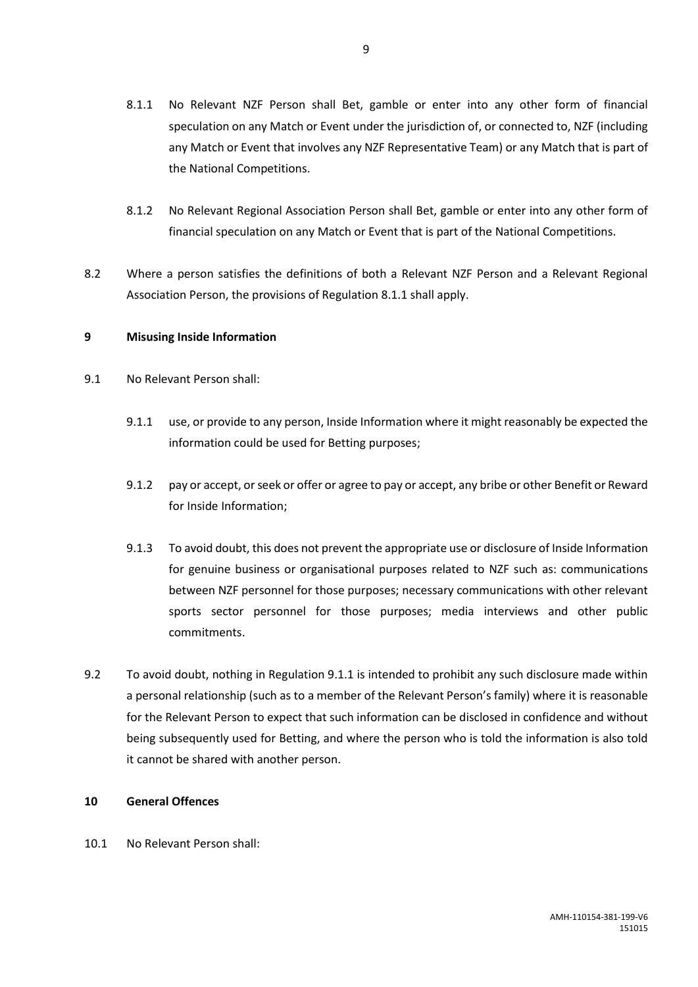- 8.1.1 No Relevant NZF Person shall Bet, gamble or enter into any other form of financial speculation on any Match or Event under the jurisdiction of, or connected to, NZF (including any Match or Event that involves any NZF Representative Team) or any Match that is part of the National Competitions.
- 8.1.2 No Relevant Regional Association Person shall Bet, gamble or enter into any other form of financial speculation on any Match or Event that is part of the National Competitions.
- 8.2 Where a person satisfies the definitions of both a Relevant NZF Person and a Relevant Regional Association Person, the provisions of Regulation 8.1.1 shall apply.

### <span id="page-11-0"></span>**9 Misusing Inside Information**

- 9.1 No Relevant Person shall:
	- 9.1.1 use, or provide to any person, Inside Information where it might reasonably be expected the information could be used for Betting purposes;
	- 9.1.2 pay or accept, or seek or offer or agree to pay or accept, any bribe or other Benefit or Reward for Inside Information;
	- 9.1.3 To avoid doubt, this does not prevent the appropriate use or disclosure of Inside Information for genuine business or organisational purposes related to NZF such as: communications between NZF personnel for those purposes; necessary communications with other relevant sports sector personnel for those purposes; media interviews and other public commitments.
- 9.2 To avoid doubt, nothing in Regulation 9.1.1 is intended to prohibit any such disclosure made within a personal relationship (such as to a member of the Relevant Person's family) where it is reasonable for the Relevant Person to expect that such information can be disclosed in confidence and without being subsequently used for Betting, and where the person who is told the information is also told it cannot be shared with another person.

### <span id="page-11-1"></span>**10 General Offences**

10.1 No Relevant Person shall: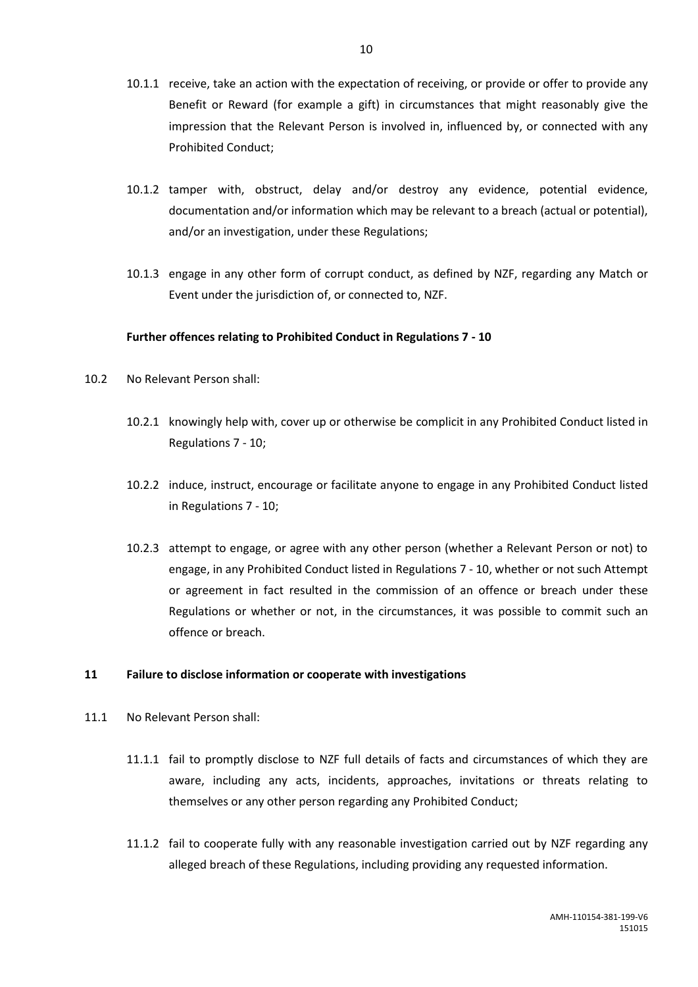- 10.1.1 receive, take an action with the expectation of receiving, or provide or offer to provide any Benefit or Reward (for example a gift) in circumstances that might reasonably give the impression that the Relevant Person is involved in, influenced by, or connected with any Prohibited Conduct;
- 10.1.2 tamper with, obstruct, delay and/or destroy any evidence, potential evidence, documentation and/or information which may be relevant to a breach (actual or potential), and/or an investigation, under these Regulations;
- 10.1.3 engage in any other form of corrupt conduct, as defined by NZF, regarding any Match or Event under the jurisdiction of, or connected to, NZF.

### **Further offences relating to Prohibited Conduct in Regulations 7 - 10**

- 10.2 No Relevant Person shall:
	- 10.2.1 knowingly help with, cover up or otherwise be complicit in any Prohibited Conduct listed in Regulations 7 - 10;
	- 10.2.2 induce, instruct, encourage or facilitate anyone to engage in any Prohibited Conduct listed in Regulations 7 - 10;
	- 10.2.3 attempt to engage, or agree with any other person (whether a Relevant Person or not) to engage, in any Prohibited Conduct listed in Regulations 7 - 10, whether or not such Attempt or agreement in fact resulted in the commission of an offence or breach under these Regulations or whether or not, in the circumstances, it was possible to commit such an offence or breach.

### <span id="page-12-0"></span>**11 Failure to disclose information or cooperate with investigations**

- 11.1 No Relevant Person shall:
	- 11.1.1 fail to promptly disclose to NZF full details of facts and circumstances of which they are aware, including any acts, incidents, approaches, invitations or threats relating to themselves or any other person regarding any Prohibited Conduct;
	- 11.1.2 fail to cooperate fully with any reasonable investigation carried out by NZF regarding any alleged breach of these Regulations, including providing any requested information.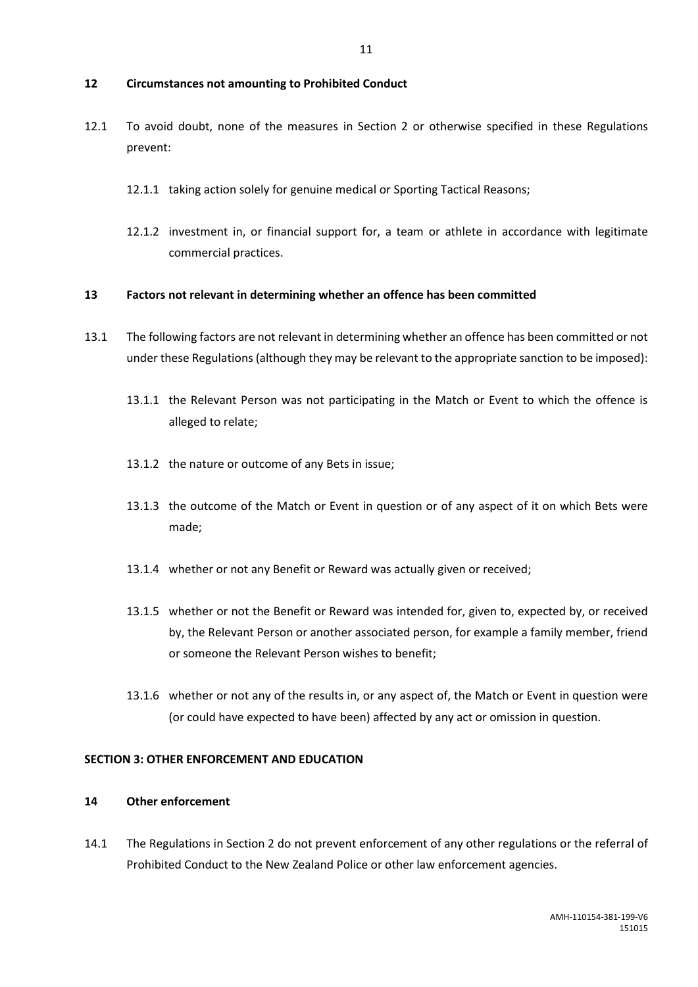#### <span id="page-13-0"></span>**12 Circumstances not amounting to Prohibited Conduct**

- 12.1 To avoid doubt, none of the measures in Section 2 or otherwise specified in these Regulations prevent:
	- 12.1.1 taking action solely for genuine medical or Sporting Tactical Reasons;
	- 12.1.2 investment in, or financial support for, a team or athlete in accordance with legitimate commercial practices.

#### <span id="page-13-1"></span>**13 Factors not relevant in determining whether an offence has been committed**

- 13.1 The following factors are not relevant in determining whether an offence has been committed or not under these Regulations(although they may be relevant to the appropriate sanction to be imposed):
	- 13.1.1 the Relevant Person was not participating in the Match or Event to which the offence is alleged to relate;
	- 13.1.2 the nature or outcome of any Bets in issue;
	- 13.1.3 the outcome of the Match or Event in question or of any aspect of it on which Bets were made;
	- 13.1.4 whether or not any Benefit or Reward was actually given or received;
	- 13.1.5 whether or not the Benefit or Reward was intended for, given to, expected by, or received by, the Relevant Person or another associated person, for example a family member, friend or someone the Relevant Person wishes to benefit;
	- 13.1.6 whether or not any of the results in, or any aspect of, the Match or Event in question were (or could have expected to have been) affected by any act or omission in question.

### <span id="page-13-2"></span>**SECTION 3: OTHER ENFORCEMENT AND EDUCATION**

### <span id="page-13-3"></span>**14 Other enforcement**

14.1 The Regulations in Section 2 do not prevent enforcement of any other regulations or the referral of Prohibited Conduct to the New Zealand Police or other law enforcement agencies.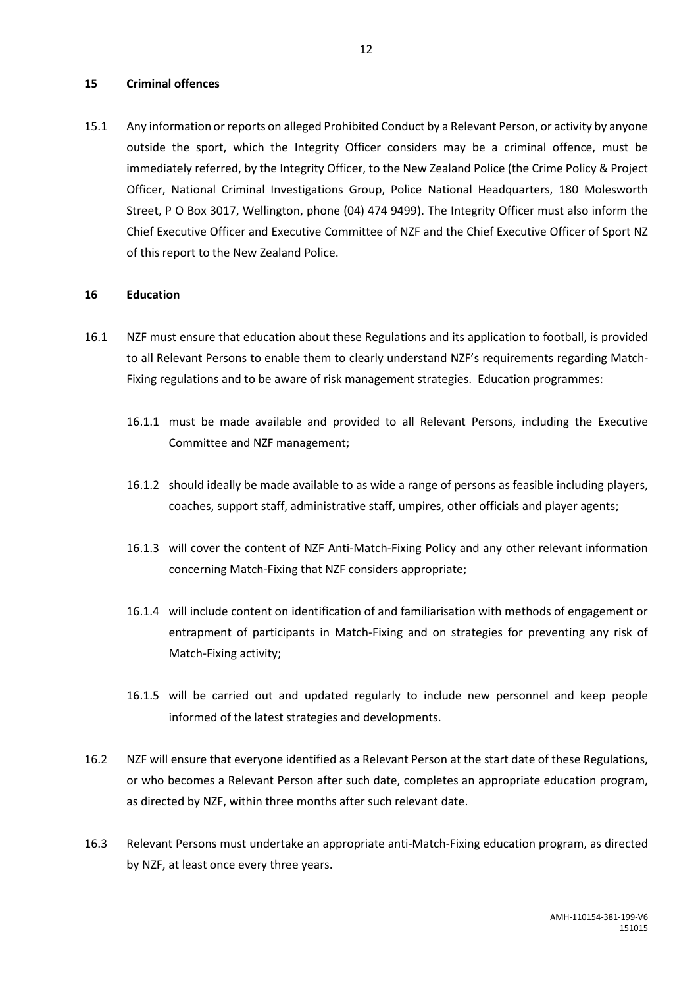### <span id="page-14-0"></span>**15 Criminal offences**

15.1 Any information or reports on alleged Prohibited Conduct by a Relevant Person, or activity by anyone outside the sport, which the Integrity Officer considers may be a criminal offence, must be immediately referred, by the Integrity Officer, to the New Zealand Police (the Crime Policy & Project Officer, National Criminal Investigations Group, Police National Headquarters, 180 Molesworth Street, P O Box 3017, Wellington, phone (04) 474 9499). The Integrity Officer must also inform the Chief Executive Officer and Executive Committee of NZF and the Chief Executive Officer of Sport NZ of this report to the New Zealand Police.

#### <span id="page-14-1"></span>**16 Education**

- 16.1 NZF must ensure that education about these Regulations and its application to football, is provided to all Relevant Persons to enable them to clearly understand NZF's requirements regarding Match-Fixing regulations and to be aware of risk management strategies. Education programmes:
	- 16.1.1 must be made available and provided to all Relevant Persons, including the Executive Committee and NZF management;
	- 16.1.2 should ideally be made available to as wide a range of persons as feasible including players, coaches, support staff, administrative staff, umpires, other officials and player agents;
	- 16.1.3 will cover the content of NZF Anti-Match-Fixing Policy and any other relevant information concerning Match-Fixing that NZF considers appropriate;
	- 16.1.4 will include content on identification of and familiarisation with methods of engagement or entrapment of participants in Match-Fixing and on strategies for preventing any risk of Match-Fixing activity;
	- 16.1.5 will be carried out and updated regularly to include new personnel and keep people informed of the latest strategies and developments.
- 16.2 NZF will ensure that everyone identified as a Relevant Person at the start date of these Regulations, or who becomes a Relevant Person after such date, completes an appropriate education program, as directed by NZF, within three months after such relevant date.
- 16.3 Relevant Persons must undertake an appropriate anti-Match-Fixing education program, as directed by NZF, at least once every three years.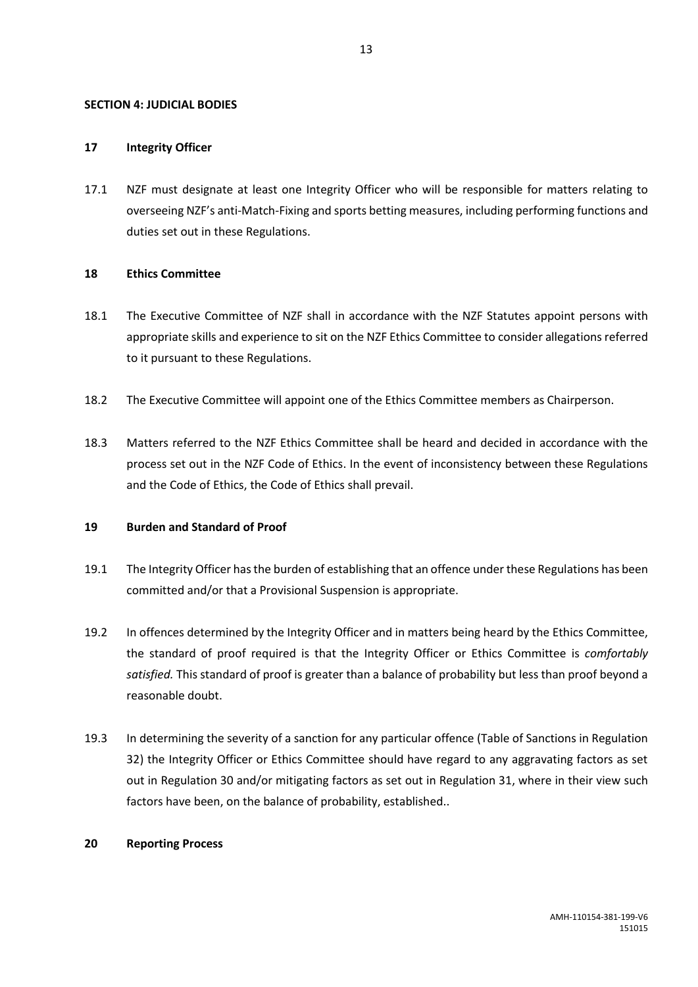#### <span id="page-15-0"></span>**SECTION 4: JUDICIAL BODIES**

#### <span id="page-15-1"></span>**17 Integrity Officer**

17.1 NZF must designate at least one Integrity Officer who will be responsible for matters relating to overseeing NZF's anti-Match-Fixing and sports betting measures, including performing functions and duties set out in these Regulations.

#### <span id="page-15-2"></span>**18 Ethics Committee**

- 18.1 The Executive Committee of NZF shall in accordance with the NZF Statutes appoint persons with appropriate skills and experience to sit on the NZF Ethics Committee to consider allegations referred to it pursuant to these Regulations.
- 18.2 The Executive Committee will appoint one of the Ethics Committee members as Chairperson.
- 18.3 Matters referred to the NZF Ethics Committee shall be heard and decided in accordance with the process set out in the NZF Code of Ethics. In the event of inconsistency between these Regulations and the Code of Ethics, the Code of Ethics shall prevail.

### <span id="page-15-3"></span>**19 Burden and Standard of Proof**

- 19.1 The Integrity Officer has the burden of establishing that an offence under these Regulations has been committed and/or that a Provisional Suspension is appropriate.
- 19.2 In offences determined by the Integrity Officer and in matters being heard by the Ethics Committee, the standard of proof required is that the Integrity Officer or Ethics Committee is *comfortably satisfied.* This standard of proof is greater than a balance of probability but less than proof beyond a reasonable doubt.
- 19.3 In determining the severity of a sanction for any particular offence (Table of Sanctions in Regulation 32) the Integrity Officer or Ethics Committee should have regard to any aggravating factors as set out in Regulation 30 and/or mitigating factors as set out in Regulation 31, where in their view such factors have been, on the balance of probability, established..

### <span id="page-15-4"></span>**20 Reporting Process**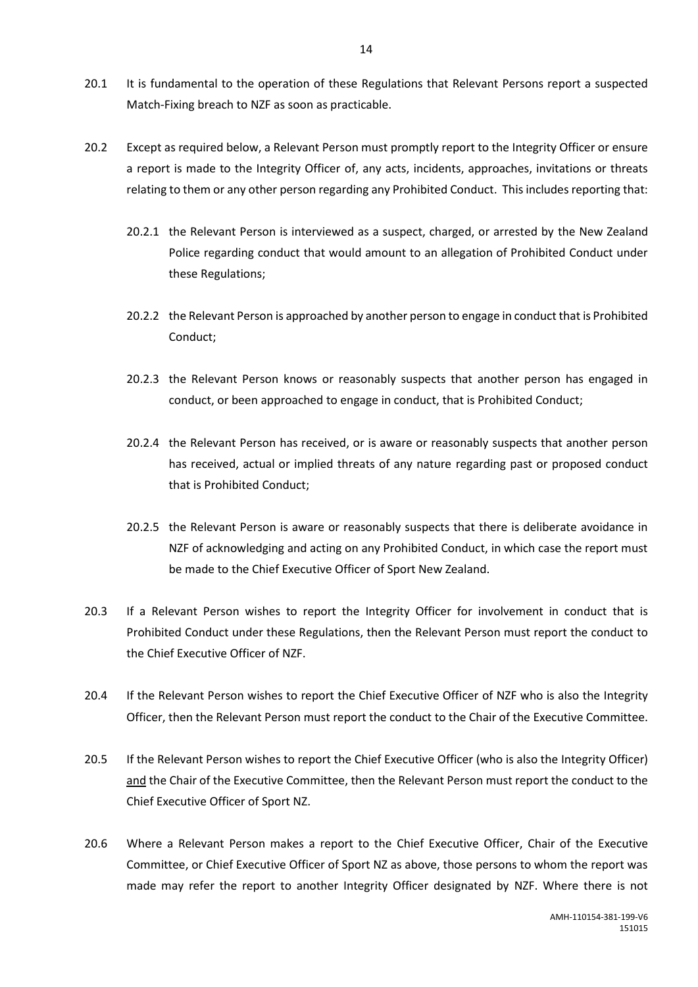- 20.1 It is fundamental to the operation of these Regulations that Relevant Persons report a suspected Match-Fixing breach to NZF as soon as practicable.
- 20.2 Except as required below, a Relevant Person must promptly report to the Integrity Officer or ensure a report is made to the Integrity Officer of, any acts, incidents, approaches, invitations or threats relating to them or any other person regarding any Prohibited Conduct. This includes reporting that:
	- 20.2.1 the Relevant Person is interviewed as a suspect, charged, or arrested by the New Zealand Police regarding conduct that would amount to an allegation of Prohibited Conduct under these Regulations;
	- 20.2.2 the Relevant Person is approached by another person to engage in conduct that is Prohibited Conduct;
	- 20.2.3 the Relevant Person knows or reasonably suspects that another person has engaged in conduct, or been approached to engage in conduct, that is Prohibited Conduct;
	- 20.2.4 the Relevant Person has received, or is aware or reasonably suspects that another person has received, actual or implied threats of any nature regarding past or proposed conduct that is Prohibited Conduct;
	- 20.2.5 the Relevant Person is aware or reasonably suspects that there is deliberate avoidance in NZF of acknowledging and acting on any Prohibited Conduct, in which case the report must be made to the Chief Executive Officer of Sport New Zealand.
- 20.3 If a Relevant Person wishes to report the Integrity Officer for involvement in conduct that is Prohibited Conduct under these Regulations, then the Relevant Person must report the conduct to the Chief Executive Officer of NZF.
- 20.4 If the Relevant Person wishes to report the Chief Executive Officer of NZF who is also the Integrity Officer, then the Relevant Person must report the conduct to the Chair of the Executive Committee.
- 20.5 If the Relevant Person wishes to report the Chief Executive Officer (who is also the Integrity Officer) and the Chair of the Executive Committee, then the Relevant Person must report the conduct to the Chief Executive Officer of Sport NZ.
- 20.6 Where a Relevant Person makes a report to the Chief Executive Officer, Chair of the Executive Committee, or Chief Executive Officer of Sport NZ as above, those persons to whom the report was made may refer the report to another Integrity Officer designated by NZF. Where there is not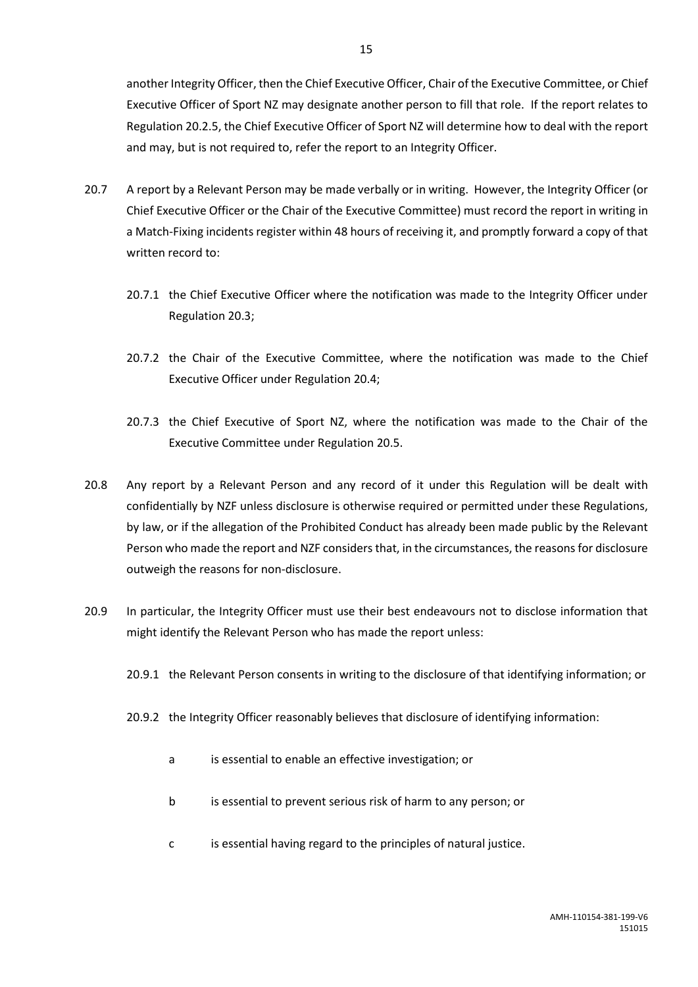another Integrity Officer, then the Chief Executive Officer, Chair of the Executive Committee, or Chief Executive Officer of Sport NZ may designate another person to fill that role. If the report relates to Regulation 20.2.5, the Chief Executive Officer of Sport NZ will determine how to deal with the report and may, but is not required to, refer the report to an Integrity Officer.

- 20.7 A report by a Relevant Person may be made verbally or in writing. However, the Integrity Officer (or Chief Executive Officer or the Chair of the Executive Committee) must record the report in writing in a Match-Fixing incidents register within 48 hours of receiving it, and promptly forward a copy of that written record to:
	- 20.7.1 the Chief Executive Officer where the notification was made to the Integrity Officer under Regulation 20.3;
	- 20.7.2 the Chair of the Executive Committee, where the notification was made to the Chief Executive Officer under Regulation 20.4;
	- 20.7.3 the Chief Executive of Sport NZ, where the notification was made to the Chair of the Executive Committee under Regulation 20.5.
- 20.8 Any report by a Relevant Person and any record of it under this Regulation will be dealt with confidentially by NZF unless disclosure is otherwise required or permitted under these Regulations, by law, or if the allegation of the Prohibited Conduct has already been made public by the Relevant Person who made the report and NZF considers that, in the circumstances, the reasons for disclosure outweigh the reasons for non-disclosure.
- 20.9 In particular, the Integrity Officer must use their best endeavours not to disclose information that might identify the Relevant Person who has made the report unless:
	- 20.9.1 the Relevant Person consents in writing to the disclosure of that identifying information; or
	- 20.9.2 the Integrity Officer reasonably believes that disclosure of identifying information:
		- a is essential to enable an effective investigation; or
		- b is essential to prevent serious risk of harm to any person; or
		- c is essential having regard to the principles of natural justice.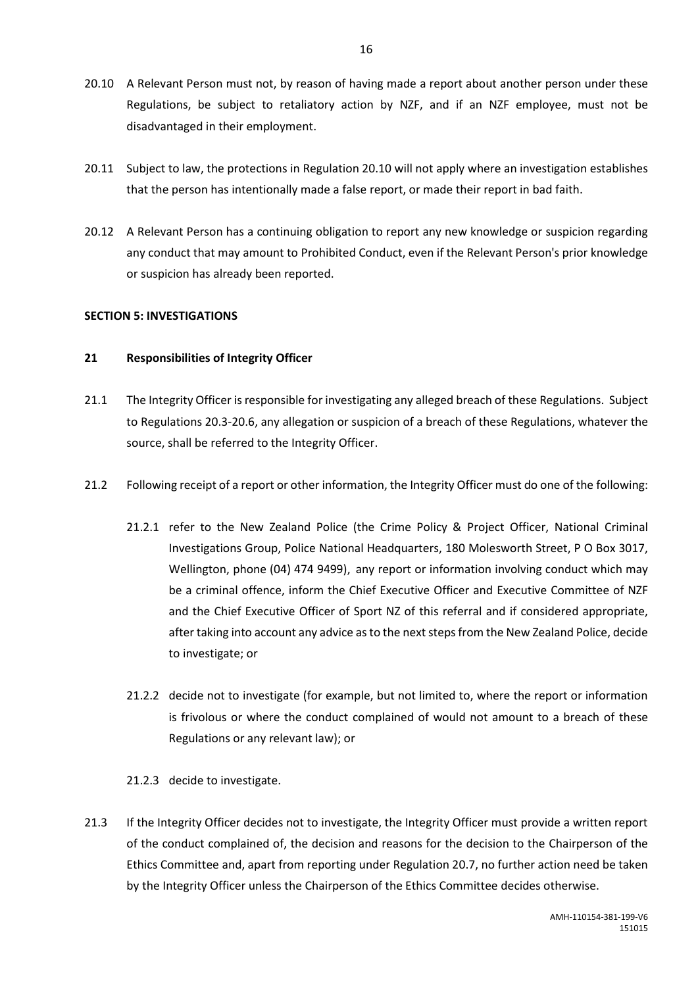- 20.10 A Relevant Person must not, by reason of having made a report about another person under these Regulations, be subject to retaliatory action by NZF, and if an NZF employee, must not be disadvantaged in their employment.
- 20.11 Subject to law, the protections in Regulation 20.10 will not apply where an investigation establishes that the person has intentionally made a false report, or made their report in bad faith.
- 20.12 A Relevant Person has a continuing obligation to report any new knowledge or suspicion regarding any conduct that may amount to Prohibited Conduct, even if the Relevant Person's prior knowledge or suspicion has already been reported.

### <span id="page-18-0"></span>**SECTION 5: INVESTIGATIONS**

#### <span id="page-18-1"></span>**21 Responsibilities of Integrity Officer**

- 21.1 The Integrity Officer is responsible for investigating any alleged breach of these Regulations. Subject to Regulations 20.3-20.6, any allegation or suspicion of a breach of these Regulations, whatever the source, shall be referred to the Integrity Officer.
- 21.2 Following receipt of a report or other information, the Integrity Officer must do one of the following:
	- 21.2.1 refer to the New Zealand Police (the Crime Policy & Project Officer, National Criminal Investigations Group, Police National Headquarters, 180 Molesworth Street, P O Box 3017, Wellington, phone (04) 474 9499), any report or information involving conduct which may be a criminal offence, inform the Chief Executive Officer and Executive Committee of NZF and the Chief Executive Officer of Sport NZ of this referral and if considered appropriate, after taking into account any advice as to the next steps from the New Zealand Police, decide to investigate; or
	- 21.2.2 decide not to investigate (for example, but not limited to, where the report or information is frivolous or where the conduct complained of would not amount to a breach of these Regulations or any relevant law); or

### 21.2.3 decide to investigate.

21.3 If the Integrity Officer decides not to investigate, the Integrity Officer must provide a written report of the conduct complained of, the decision and reasons for the decision to the Chairperson of the Ethics Committee and, apart from reporting under Regulation 20.7, no further action need be taken by the Integrity Officer unless the Chairperson of the Ethics Committee decides otherwise.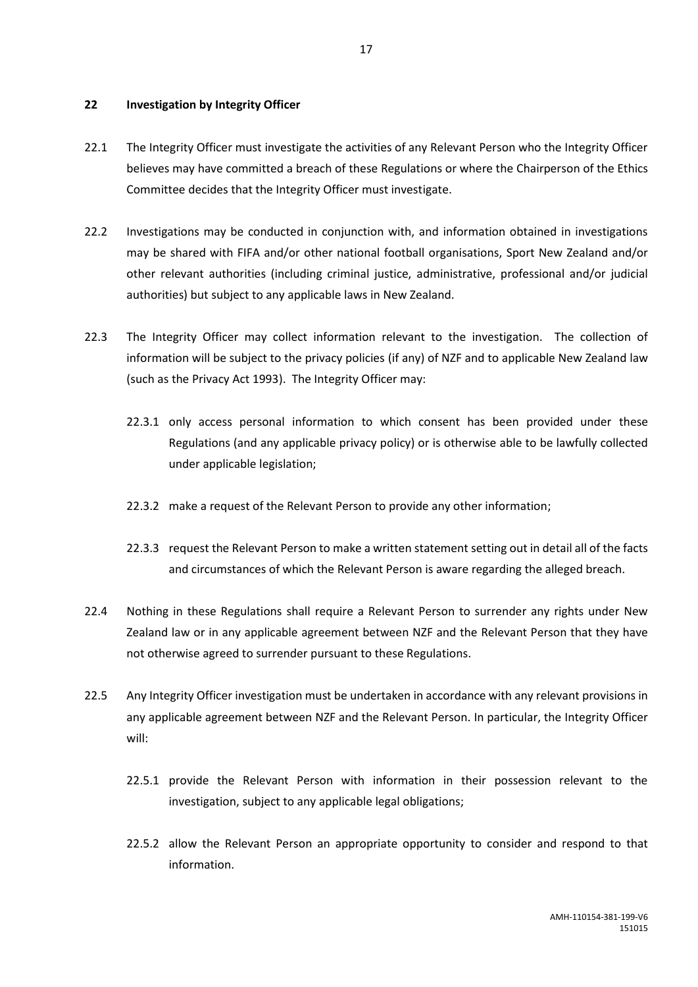### <span id="page-19-0"></span>**22 Investigation by Integrity Officer**

- 22.1 The Integrity Officer must investigate the activities of any Relevant Person who the Integrity Officer believes may have committed a breach of these Regulations or where the Chairperson of the Ethics Committee decides that the Integrity Officer must investigate.
- 22.2 Investigations may be conducted in conjunction with, and information obtained in investigations may be shared with FIFA and/or other national football organisations, Sport New Zealand and/or other relevant authorities (including criminal justice, administrative, professional and/or judicial authorities) but subject to any applicable laws in New Zealand.
- 22.3 The Integrity Officer may collect information relevant to the investigation. The collection of information will be subject to the privacy policies (if any) of NZF and to applicable New Zealand law (such as the Privacy Act 1993). The Integrity Officer may:
	- 22.3.1 only access personal information to which consent has been provided under these Regulations (and any applicable privacy policy) or is otherwise able to be lawfully collected under applicable legislation;
	- 22.3.2 make a request of the Relevant Person to provide any other information;
	- 22.3.3 request the Relevant Person to make a written statement setting out in detail all of the facts and circumstances of which the Relevant Person is aware regarding the alleged breach.
- 22.4 Nothing in these Regulations shall require a Relevant Person to surrender any rights under New Zealand law or in any applicable agreement between NZF and the Relevant Person that they have not otherwise agreed to surrender pursuant to these Regulations.
- 22.5 Any Integrity Officer investigation must be undertaken in accordance with any relevant provisions in any applicable agreement between NZF and the Relevant Person. In particular, the Integrity Officer will:
	- 22.5.1 provide the Relevant Person with information in their possession relevant to the investigation, subject to any applicable legal obligations;
	- 22.5.2 allow the Relevant Person an appropriate opportunity to consider and respond to that information.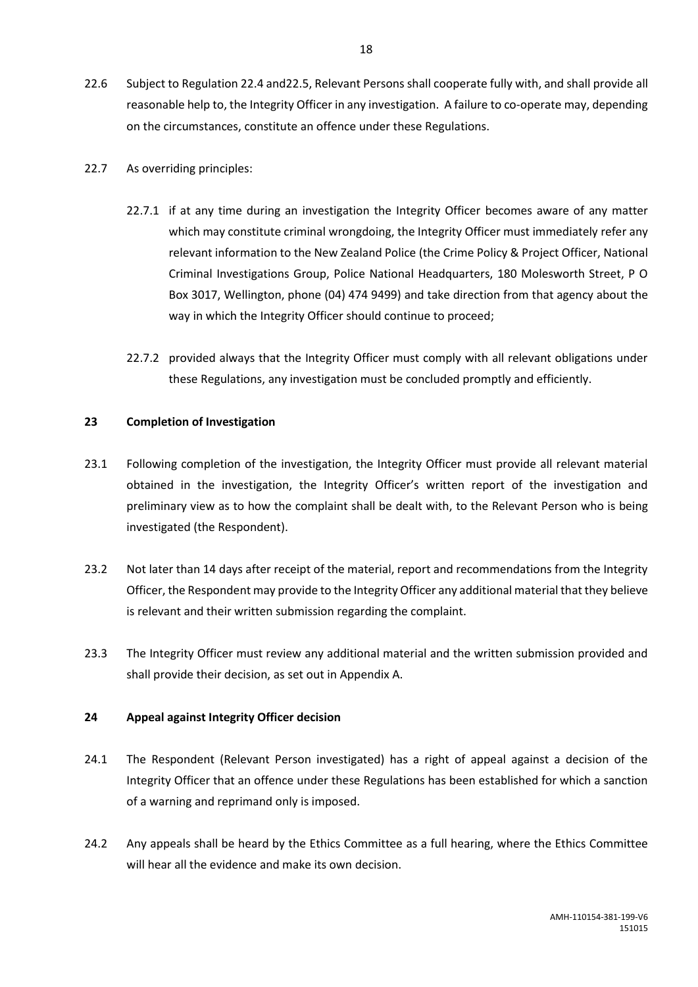22.6 Subject to Regulation 22.4 and22.5, Relevant Persons shall cooperate fully with, and shall provide all reasonable help to, the Integrity Officer in any investigation. A failure to co-operate may, depending on the circumstances, constitute an offence under these Regulations.

### 22.7 As overriding principles:

- 22.7.1 if at any time during an investigation the Integrity Officer becomes aware of any matter which may constitute criminal wrongdoing, the Integrity Officer must immediately refer any relevant information to the New Zealand Police (the Crime Policy & Project Officer, National Criminal Investigations Group, Police National Headquarters, 180 Molesworth Street, P O Box 3017, Wellington, phone (04) 474 9499) and take direction from that agency about the way in which the Integrity Officer should continue to proceed;
- 22.7.2 provided always that the Integrity Officer must comply with all relevant obligations under these Regulations, any investigation must be concluded promptly and efficiently.

### <span id="page-20-0"></span>**23 Completion of Investigation**

- 23.1 Following completion of the investigation, the Integrity Officer must provide all relevant material obtained in the investigation, the Integrity Officer's written report of the investigation and preliminary view as to how the complaint shall be dealt with, to the Relevant Person who is being investigated (the Respondent).
- 23.2 Not later than 14 days after receipt of the material, report and recommendations from the Integrity Officer, the Respondent may provide to the Integrity Officer any additional material that they believe is relevant and their written submission regarding the complaint.
- 23.3 The Integrity Officer must review any additional material and the written submission provided and shall provide their decision, as set out in Appendix A.

### <span id="page-20-1"></span>**24 Appeal against Integrity Officer decision**

- 24.1 The Respondent (Relevant Person investigated) has a right of appeal against a decision of the Integrity Officer that an offence under these Regulations has been established for which a sanction of a warning and reprimand only is imposed.
- 24.2 Any appeals shall be heard by the Ethics Committee as a full hearing, where the Ethics Committee will hear all the evidence and make its own decision.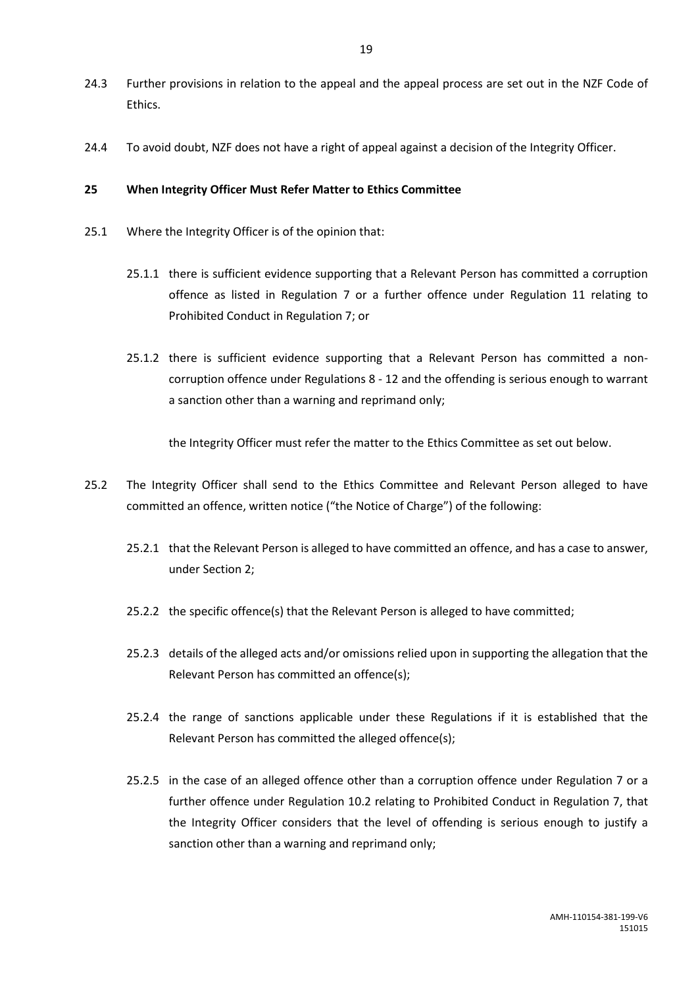- 24.3 Further provisions in relation to the appeal and the appeal process are set out in the NZF Code of Ethics.
- 24.4 To avoid doubt, NZF does not have a right of appeal against a decision of the Integrity Officer.

### <span id="page-21-0"></span>**25 When Integrity Officer Must Refer Matter to Ethics Committee**

- 25.1 Where the Integrity Officer is of the opinion that:
	- 25.1.1 there is sufficient evidence supporting that a Relevant Person has committed a corruption offence as listed in Regulation 7 or a further offence under Regulation 11 relating to Prohibited Conduct in Regulation 7; or
	- 25.1.2 there is sufficient evidence supporting that a Relevant Person has committed a noncorruption offence under Regulations 8 - 12 and the offending is serious enough to warrant a sanction other than a warning and reprimand only;

the Integrity Officer must refer the matter to the Ethics Committee as set out below.

- 25.2 The Integrity Officer shall send to the Ethics Committee and Relevant Person alleged to have committed an offence, written notice ("the Notice of Charge") of the following:
	- 25.2.1 that the Relevant Person is alleged to have committed an offence, and has a case to answer, under Section 2;
	- 25.2.2 the specific offence(s) that the Relevant Person is alleged to have committed;
	- 25.2.3 details of the alleged acts and/or omissions relied upon in supporting the allegation that the Relevant Person has committed an offence(s);
	- 25.2.4 the range of sanctions applicable under these Regulations if it is established that the Relevant Person has committed the alleged offence(s);
	- 25.2.5 in the case of an alleged offence other than a corruption offence under Regulation 7 or a further offence under Regulation 10.2 relating to Prohibited Conduct in Regulation 7, that the Integrity Officer considers that the level of offending is serious enough to justify a sanction other than a warning and reprimand only;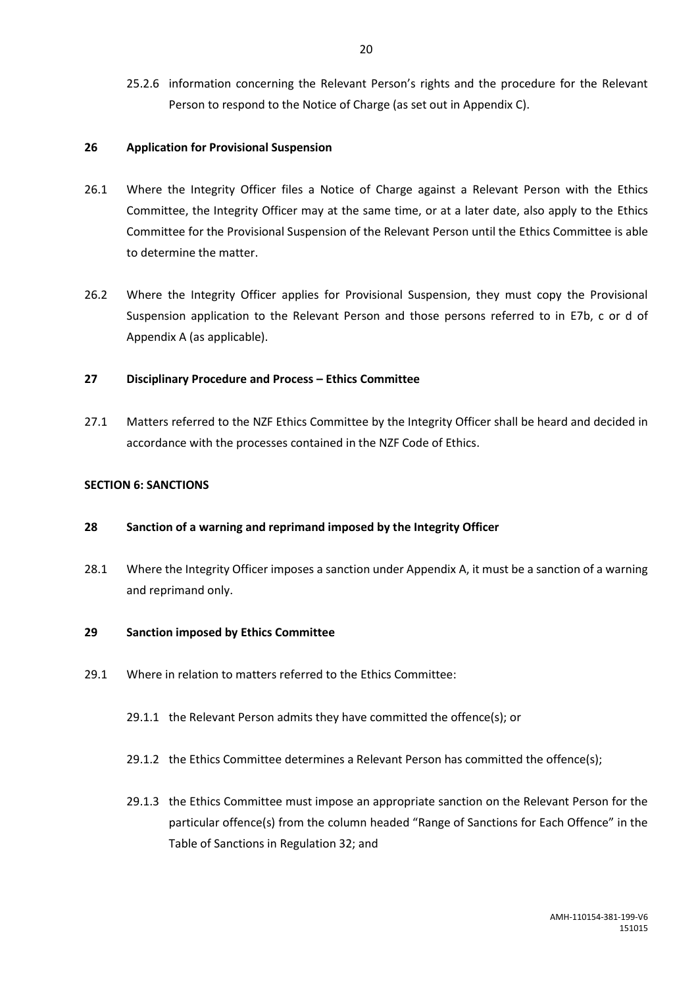25.2.6 information concerning the Relevant Person's rights and the procedure for the Relevant Person to respond to the Notice of Charge (as set out in Appendix C).

### <span id="page-22-0"></span>**26 Application for Provisional Suspension**

- 26.1 Where the Integrity Officer files a Notice of Charge against a Relevant Person with the Ethics Committee, the Integrity Officer may at the same time, or at a later date, also apply to the Ethics Committee for the Provisional Suspension of the Relevant Person until the Ethics Committee is able to determine the matter.
- 26.2 Where the Integrity Officer applies for Provisional Suspension, they must copy the Provisional Suspension application to the Relevant Person and those persons referred to in E7b, c or d of Appendix A (as applicable).

### <span id="page-22-1"></span>**27 Disciplinary Procedure and Process – Ethics Committee**

27.1 Matters referred to the NZF Ethics Committee by the Integrity Officer shall be heard and decided in accordance with the processes contained in the NZF Code of Ethics.

### <span id="page-22-2"></span>**SECTION 6: SANCTIONS**

### <span id="page-22-3"></span>**28 Sanction of a warning and reprimand imposed by the Integrity Officer**

28.1 Where the Integrity Officer imposes a sanction under Appendix A, it must be a sanction of a warning and reprimand only.

### <span id="page-22-4"></span>**29 Sanction imposed by Ethics Committee**

- 29.1 Where in relation to matters referred to the Ethics Committee:
	- 29.1.1 the Relevant Person admits they have committed the offence(s); or
	- 29.1.2 the Ethics Committee determines a Relevant Person has committed the offence(s);
	- 29.1.3 the Ethics Committee must impose an appropriate sanction on the Relevant Person for the particular offence(s) from the column headed "Range of Sanctions for Each Offence" in the Table of Sanctions in Regulation 32; and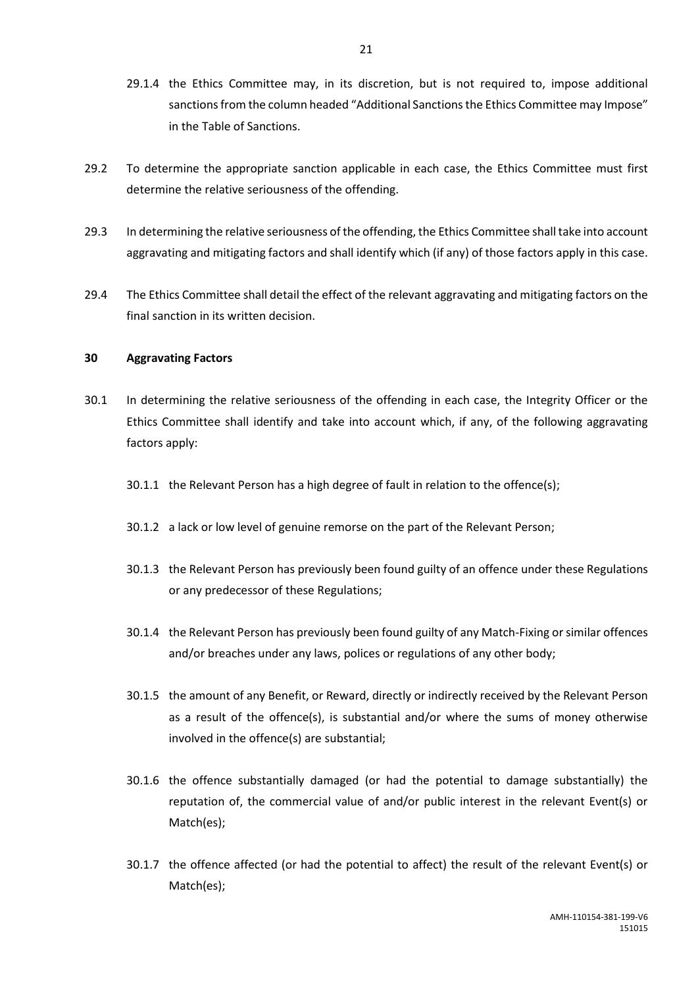- 29.1.4 the Ethics Committee may, in its discretion, but is not required to, impose additional sanctions from the column headed "Additional Sanctions the Ethics Committee may Impose" in the Table of Sanctions.
- 29.2 To determine the appropriate sanction applicable in each case, the Ethics Committee must first determine the relative seriousness of the offending.
- 29.3 In determining the relative seriousness of the offending, the Ethics Committee shall take into account aggravating and mitigating factors and shall identify which (if any) of those factors apply in this case.
- 29.4 The Ethics Committee shall detail the effect of the relevant aggravating and mitigating factors on the final sanction in its written decision.

### <span id="page-23-0"></span>**30 Aggravating Factors**

- 30.1 In determining the relative seriousness of the offending in each case, the Integrity Officer or the Ethics Committee shall identify and take into account which, if any, of the following aggravating factors apply:
	- 30.1.1 the Relevant Person has a high degree of fault in relation to the offence(s);
	- 30.1.2 a lack or low level of genuine remorse on the part of the Relevant Person;
	- 30.1.3 the Relevant Person has previously been found guilty of an offence under these Regulations or any predecessor of these Regulations;
	- 30.1.4 the Relevant Person has previously been found guilty of any Match-Fixing or similar offences and/or breaches under any laws, polices or regulations of any other body;
	- 30.1.5 the amount of any Benefit, or Reward, directly or indirectly received by the Relevant Person as a result of the offence(s), is substantial and/or where the sums of money otherwise involved in the offence(s) are substantial;
	- 30.1.6 the offence substantially damaged (or had the potential to damage substantially) the reputation of, the commercial value of and/or public interest in the relevant Event(s) or Match(es);
	- 30.1.7 the offence affected (or had the potential to affect) the result of the relevant Event(s) or Match(es);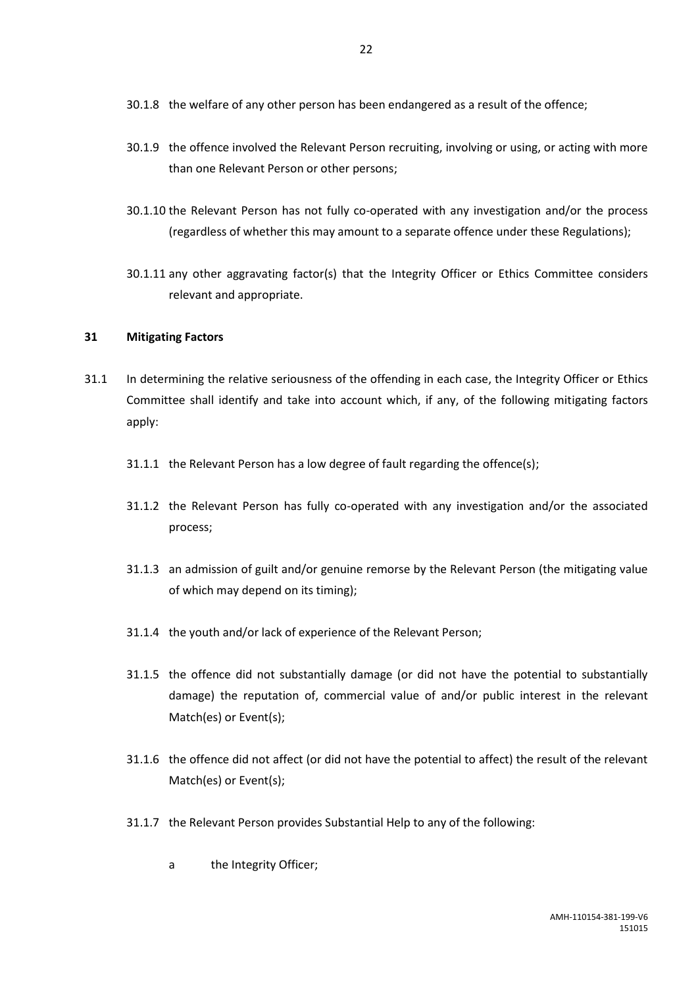- 30.1.8 the welfare of any other person has been endangered as a result of the offence;
- 30.1.9 the offence involved the Relevant Person recruiting, involving or using, or acting with more than one Relevant Person or other persons;
- 30.1.10 the Relevant Person has not fully co-operated with any investigation and/or the process (regardless of whether this may amount to a separate offence under these Regulations);
- 30.1.11 any other aggravating factor(s) that the Integrity Officer or Ethics Committee considers relevant and appropriate.

### <span id="page-24-0"></span>**31 Mitigating Factors**

- 31.1 In determining the relative seriousness of the offending in each case, the Integrity Officer or Ethics Committee shall identify and take into account which, if any, of the following mitigating factors apply:
	- 31.1.1 the Relevant Person has a low degree of fault regarding the offence(s);
	- 31.1.2 the Relevant Person has fully co-operated with any investigation and/or the associated process;
	- 31.1.3 an admission of guilt and/or genuine remorse by the Relevant Person (the mitigating value of which may depend on its timing);
	- 31.1.4 the youth and/or lack of experience of the Relevant Person;
	- 31.1.5 the offence did not substantially damage (or did not have the potential to substantially damage) the reputation of, commercial value of and/or public interest in the relevant Match(es) or Event(s);
	- 31.1.6 the offence did not affect (or did not have the potential to affect) the result of the relevant Match(es) or Event(s);
	- 31.1.7 the Relevant Person provides Substantial Help to any of the following:
		- a the Integrity Officer;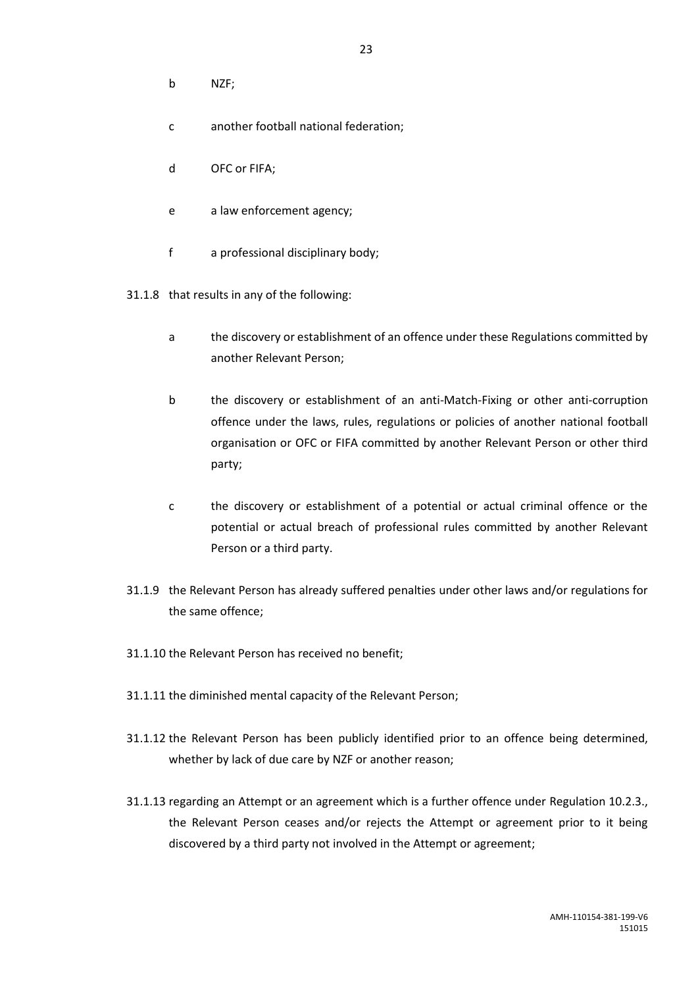- b NZF;
- c another football national federation;
- d OFC or FIFA;
- e a law enforcement agency;
- f a professional disciplinary body;
- 31.1.8 that results in any of the following:
	- a the discovery or establishment of an offence under these Regulations committed by another Relevant Person;
	- b the discovery or establishment of an anti-Match-Fixing or other anti-corruption offence under the laws, rules, regulations or policies of another national football organisation or OFC or FIFA committed by another Relevant Person or other third party;
	- c the discovery or establishment of a potential or actual criminal offence or the potential or actual breach of professional rules committed by another Relevant Person or a third party.
- 31.1.9 the Relevant Person has already suffered penalties under other laws and/or regulations for the same offence;
- 31.1.10 the Relevant Person has received no benefit;
- 31.1.11 the diminished mental capacity of the Relevant Person;
- 31.1.12 the Relevant Person has been publicly identified prior to an offence being determined, whether by lack of due care by NZF or another reason;
- 31.1.13 regarding an Attempt or an agreement which is a further offence under Regulation 10.2.3., the Relevant Person ceases and/or rejects the Attempt or agreement prior to it being discovered by a third party not involved in the Attempt or agreement;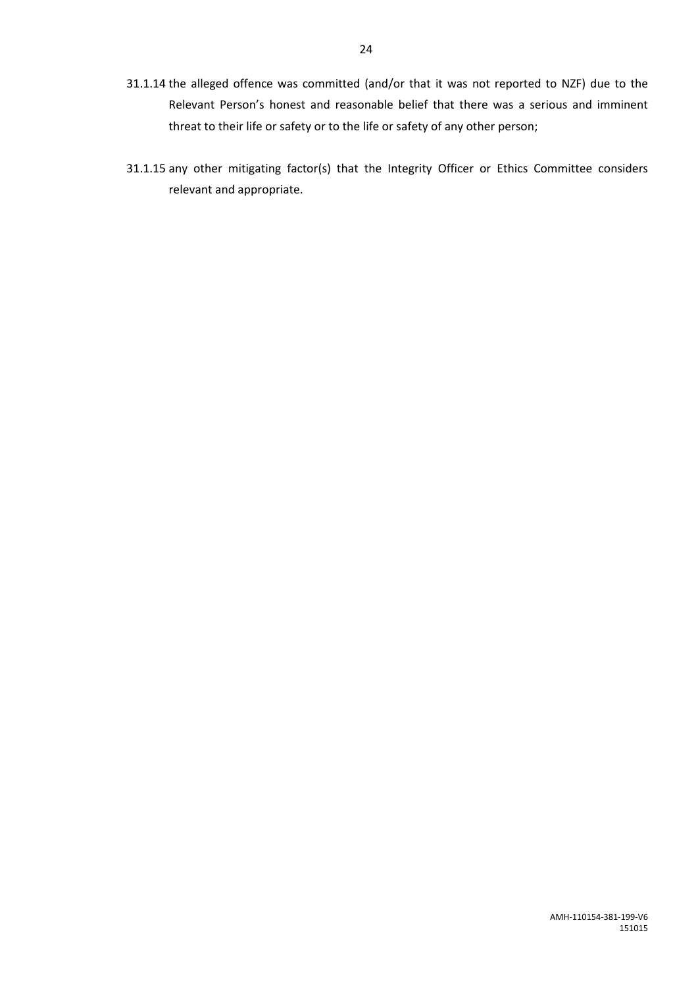- 31.1.14 the alleged offence was committed (and/or that it was not reported to NZF) due to the Relevant Person's honest and reasonable belief that there was a serious and imminent threat to their life or safety or to the life or safety of any other person;
- 31.1.15 any other mitigating factor(s) that the Integrity Officer or Ethics Committee considers relevant and appropriate.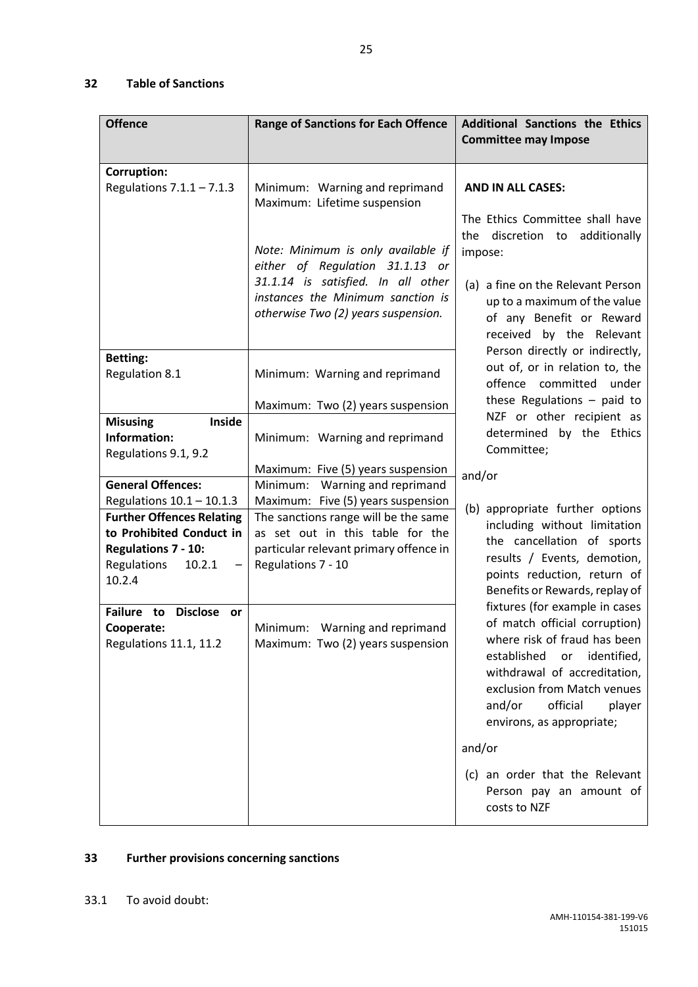### <span id="page-27-0"></span>**32 Table of Sanctions**

| <b>Offence</b>                                                                                                                                             | <b>Range of Sanctions for Each Offence</b>                                                                                                                                                                              | <b>Additional Sanctions the Ethics</b><br><b>Committee may Impose</b>                                                                                                                                                                                           |  |
|------------------------------------------------------------------------------------------------------------------------------------------------------------|-------------------------------------------------------------------------------------------------------------------------------------------------------------------------------------------------------------------------|-----------------------------------------------------------------------------------------------------------------------------------------------------------------------------------------------------------------------------------------------------------------|--|
| <b>Corruption:</b><br>Regulations $7.1.1 - 7.1.3$                                                                                                          | Minimum: Warning and reprimand                                                                                                                                                                                          | <b>AND IN ALL CASES:</b>                                                                                                                                                                                                                                        |  |
|                                                                                                                                                            | Maximum: Lifetime suspension<br>Note: Minimum is only available if<br>either of Regulation 31.1.13 or<br>31.1.14 is satisfied. In all other<br>instances the Minimum sanction is<br>otherwise Two (2) years suspension. | The Ethics Committee shall have<br>discretion to additionally<br>the<br>impose:                                                                                                                                                                                 |  |
|                                                                                                                                                            |                                                                                                                                                                                                                         | (a) a fine on the Relevant Person<br>up to a maximum of the value<br>of any Benefit or Reward<br>received by the Relevant<br>Person directly or indirectly,                                                                                                     |  |
| <b>Betting:</b><br><b>Regulation 8.1</b>                                                                                                                   | Minimum: Warning and reprimand                                                                                                                                                                                          | out of, or in relation to, the<br>offence committed<br>under                                                                                                                                                                                                    |  |
|                                                                                                                                                            | Maximum: Two (2) years suspension                                                                                                                                                                                       | these Regulations $-$ paid to                                                                                                                                                                                                                                   |  |
| <b>Inside</b><br><b>Misusing</b><br>Information:<br>Regulations 9.1, 9.2                                                                                   | Minimum: Warning and reprimand                                                                                                                                                                                          | NZF or other recipient as<br>determined by the Ethics<br>Committee;                                                                                                                                                                                             |  |
| <b>General Offences:</b>                                                                                                                                   | Maximum: Five (5) years suspension<br>Minimum: Warning and reprimand                                                                                                                                                    | and/or                                                                                                                                                                                                                                                          |  |
| Regulations $10.1 - 10.1.3$<br><b>Further Offences Relating</b><br>to Prohibited Conduct in<br>Regulations 7 - 10:<br>Regulations<br>10.2.1<br>—<br>10.2.4 | Maximum: Five (5) years suspension<br>The sanctions range will be the same<br>as set out in this table for the<br>particular relevant primary offence in<br>Regulations 7 - 10                                          | (b) appropriate further options<br>including without limitation<br>the cancellation of sports<br>results / Events, demotion,<br>points reduction, return of<br>Benefits or Rewards, replay of                                                                   |  |
| Failure to<br>Disclose or<br>Cooperate:<br>Regulations 11.1, 11.2                                                                                          | Minimum: Warning and reprimand<br>Maximum: Two (2) years suspension                                                                                                                                                     | fixtures (for example in cases<br>of match official corruption)<br>where risk of fraud has been<br>established<br>identified,<br>or<br>withdrawal of accreditation,<br>exclusion from Match venues<br>and/or<br>official<br>player<br>environs, as appropriate; |  |
|                                                                                                                                                            |                                                                                                                                                                                                                         | and/or<br>(c) an order that the Relevant<br>Person pay an amount of<br>costs to NZF                                                                                                                                                                             |  |

## <span id="page-27-1"></span>**33 Further provisions concerning sanctions**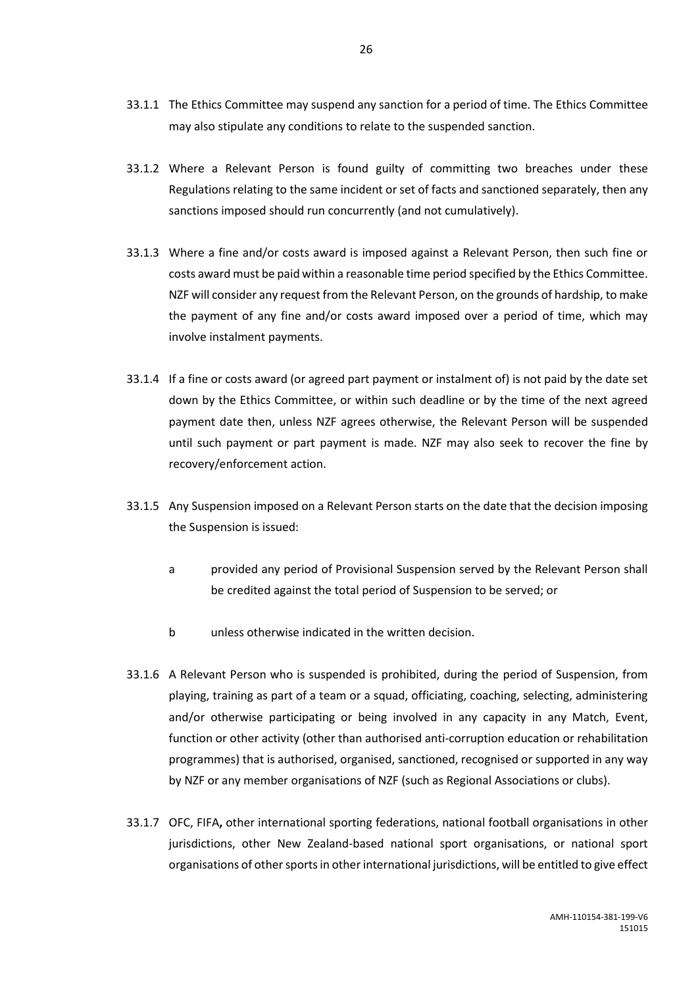- 33.1.1 The Ethics Committee may suspend any sanction for a period of time. The Ethics Committee may also stipulate any conditions to relate to the suspended sanction.
- 33.1.2 Where a Relevant Person is found guilty of committing two breaches under these Regulations relating to the same incident or set of facts and sanctioned separately, then any sanctions imposed should run concurrently (and not cumulatively).
- 33.1.3 Where a fine and/or costs award is imposed against a Relevant Person, then such fine or costs award must be paid within a reasonable time period specified by the Ethics Committee. NZF will consider any request from the Relevant Person, on the grounds of hardship, to make the payment of any fine and/or costs award imposed over a period of time, which may involve instalment payments.
- 33.1.4 If a fine or costs award (or agreed part payment or instalment of) is not paid by the date set down by the Ethics Committee, or within such deadline or by the time of the next agreed payment date then, unless NZF agrees otherwise, the Relevant Person will be suspended until such payment or part payment is made. NZF may also seek to recover the fine by recovery/enforcement action.
- 33.1.5 Any Suspension imposed on a Relevant Person starts on the date that the decision imposing the Suspension is issued:
	- a provided any period of Provisional Suspension served by the Relevant Person shall be credited against the total period of Suspension to be served; or
	- b unless otherwise indicated in the written decision.
- 33.1.6 A Relevant Person who is suspended is prohibited, during the period of Suspension, from playing, training as part of a team or a squad, officiating, coaching, selecting, administering and/or otherwise participating or being involved in any capacity in any Match, Event, function or other activity (other than authorised anti-corruption education or rehabilitation programmes) that is authorised, organised, sanctioned, recognised or supported in any way by NZF or any member organisations of NZF (such as Regional Associations or clubs).
- 33.1.7 OFC, FIFA**,** other international sporting federations, national football organisations in other jurisdictions, other New Zealand-based national sport organisations, or national sport organisations of other sports in other international jurisdictions, will be entitled to give effect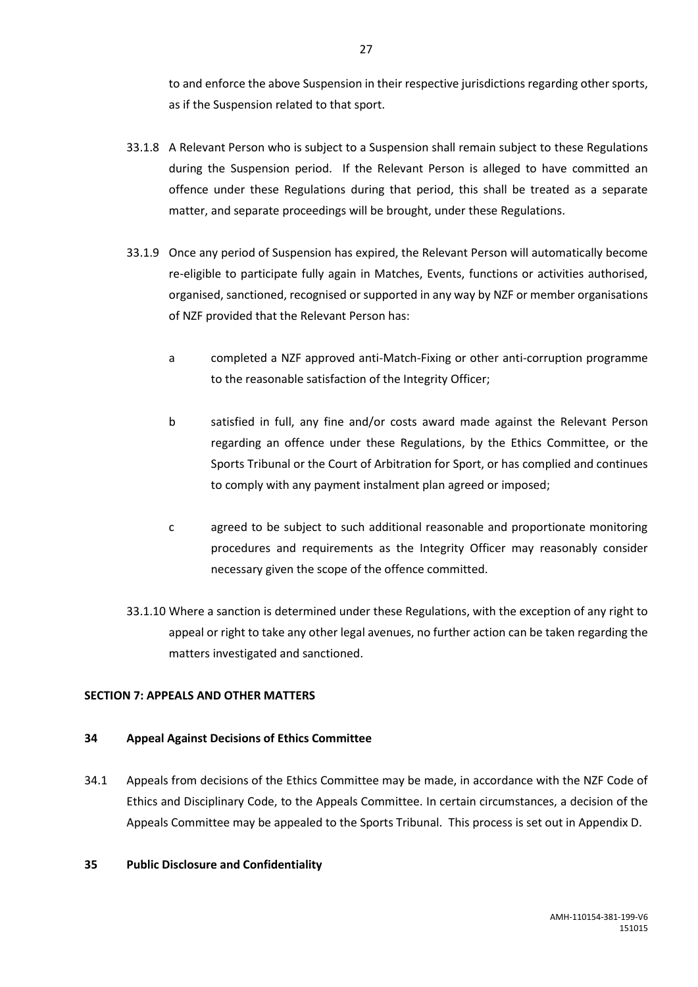to and enforce the above Suspension in their respective jurisdictions regarding other sports, as if the Suspension related to that sport.

- 33.1.8 A Relevant Person who is subject to a Suspension shall remain subject to these Regulations during the Suspension period. If the Relevant Person is alleged to have committed an offence under these Regulations during that period, this shall be treated as a separate matter, and separate proceedings will be brought, under these Regulations.
- 33.1.9 Once any period of Suspension has expired, the Relevant Person will automatically become re-eligible to participate fully again in Matches, Events, functions or activities authorised, organised, sanctioned, recognised or supported in any way by NZF or member organisations of NZF provided that the Relevant Person has:
	- a completed a NZF approved anti-Match-Fixing or other anti-corruption programme to the reasonable satisfaction of the Integrity Officer;
	- b satisfied in full, any fine and/or costs award made against the Relevant Person regarding an offence under these Regulations, by the Ethics Committee, or the Sports Tribunal or the Court of Arbitration for Sport, or has complied and continues to comply with any payment instalment plan agreed or imposed;
	- c agreed to be subject to such additional reasonable and proportionate monitoring procedures and requirements as the Integrity Officer may reasonably consider necessary given the scope of the offence committed.
- 33.1.10 Where a sanction is determined under these Regulations, with the exception of any right to appeal or right to take any other legal avenues, no further action can be taken regarding the matters investigated and sanctioned.

### <span id="page-29-0"></span>**SECTION 7: APPEALS AND OTHER MATTERS**

### <span id="page-29-1"></span>**34 Appeal Against Decisions of Ethics Committee**

34.1 Appeals from decisions of the Ethics Committee may be made, in accordance with the NZF Code of Ethics and Disciplinary Code, to the Appeals Committee. In certain circumstances, a decision of the Appeals Committee may be appealed to the Sports Tribunal. This process is set out in Appendix D.

### <span id="page-29-2"></span>**35 Public Disclosure and Confidentiality**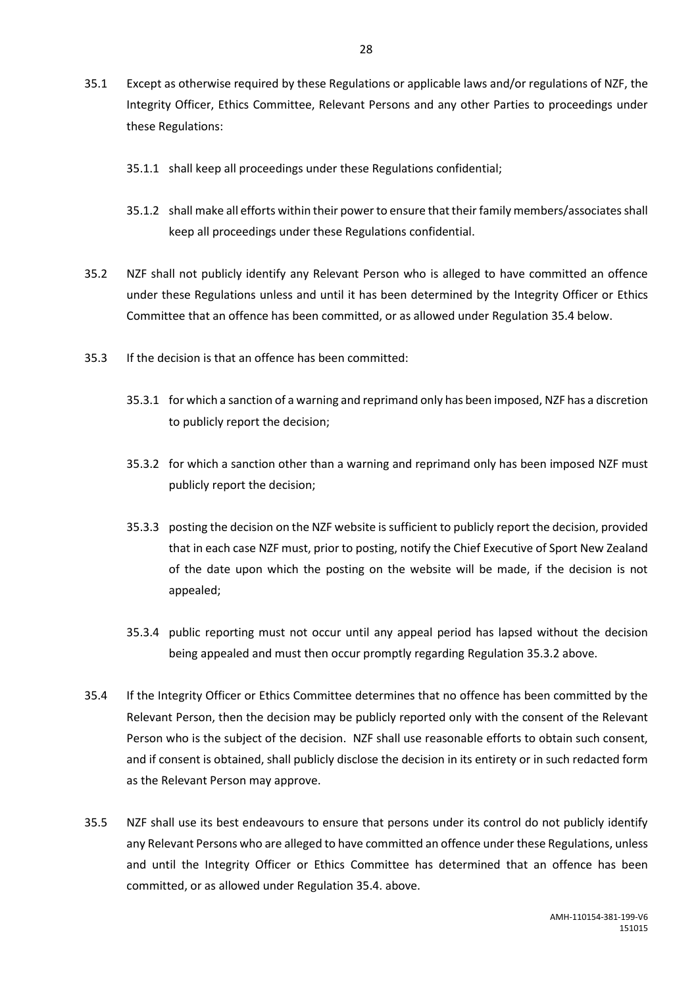- 35.1 Except as otherwise required by these Regulations or applicable laws and/or regulations of NZF, the Integrity Officer, Ethics Committee, Relevant Persons and any other Parties to proceedings under these Regulations:
	- 35.1.1 shall keep all proceedings under these Regulations confidential;
	- 35.1.2 shall make all efforts within their power to ensure that their family members/associates shall keep all proceedings under these Regulations confidential.
- 35.2 NZF shall not publicly identify any Relevant Person who is alleged to have committed an offence under these Regulations unless and until it has been determined by the Integrity Officer or Ethics Committee that an offence has been committed, or as allowed under Regulation 35.4 below.
- 35.3 If the decision is that an offence has been committed:
	- 35.3.1 for which a sanction of a warning and reprimand only has been imposed, NZF has a discretion to publicly report the decision;
	- 35.3.2 for which a sanction other than a warning and reprimand only has been imposed NZF must publicly report the decision;
	- 35.3.3 posting the decision on the NZF website is sufficient to publicly report the decision, provided that in each case NZF must, prior to posting, notify the Chief Executive of Sport New Zealand of the date upon which the posting on the website will be made, if the decision is not appealed;
	- 35.3.4 public reporting must not occur until any appeal period has lapsed without the decision being appealed and must then occur promptly regarding Regulation 35.3.2 above.
- 35.4 If the Integrity Officer or Ethics Committee determines that no offence has been committed by the Relevant Person, then the decision may be publicly reported only with the consent of the Relevant Person who is the subject of the decision. NZF shall use reasonable efforts to obtain such consent, and if consent is obtained, shall publicly disclose the decision in its entirety or in such redacted form as the Relevant Person may approve.
- 35.5 NZF shall use its best endeavours to ensure that persons under its control do not publicly identify any Relevant Persons who are alleged to have committed an offence under these Regulations, unless and until the Integrity Officer or Ethics Committee has determined that an offence has been committed, or as allowed under Regulation 35.4. above.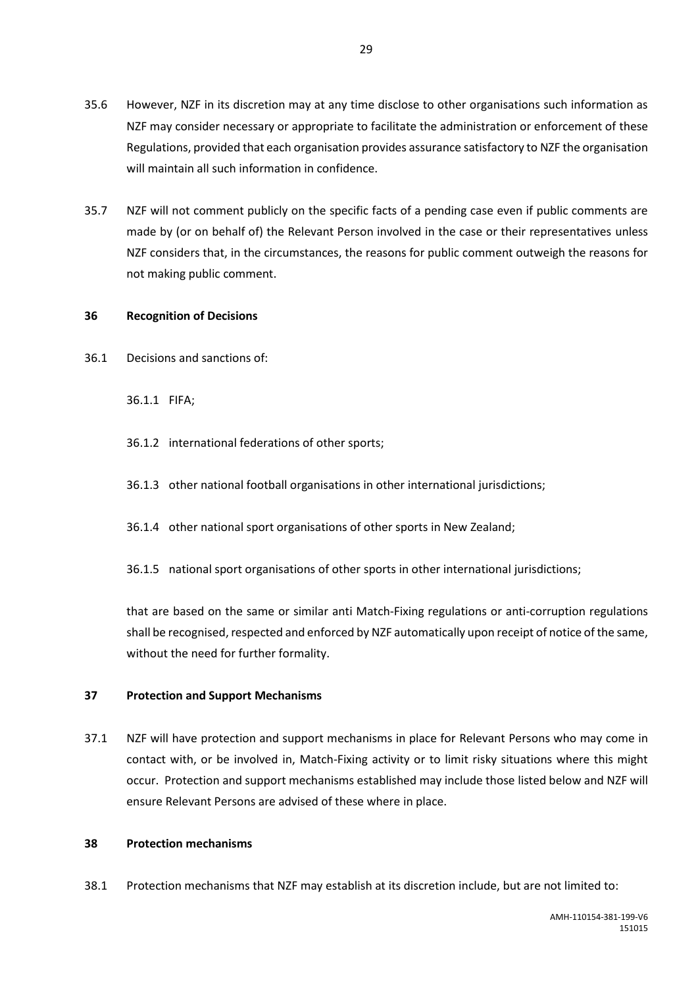- 35.6 However, NZF in its discretion may at any time disclose to other organisations such information as NZF may consider necessary or appropriate to facilitate the administration or enforcement of these Regulations, provided that each organisation provides assurance satisfactory to NZF the organisation will maintain all such information in confidence.
- 35.7 NZF will not comment publicly on the specific facts of a pending case even if public comments are made by (or on behalf of) the Relevant Person involved in the case or their representatives unless NZF considers that, in the circumstances, the reasons for public comment outweigh the reasons for not making public comment.

### <span id="page-31-0"></span>**36 Recognition of Decisions**

36.1 Decisions and sanctions of:

36.1.1 FIFA;

- 36.1.2 international federations of other sports;
- 36.1.3 other national football organisations in other international jurisdictions;
- 36.1.4 other national sport organisations of other sports in New Zealand;
- 36.1.5 national sport organisations of other sports in other international jurisdictions;

that are based on the same or similar anti Match-Fixing regulations or anti-corruption regulations shall be recognised, respected and enforced by NZF automatically upon receipt of notice of the same, without the need for further formality.

### <span id="page-31-1"></span>**37 Protection and Support Mechanisms**

37.1 NZF will have protection and support mechanisms in place for Relevant Persons who may come in contact with, or be involved in, Match-Fixing activity or to limit risky situations where this might occur. Protection and support mechanisms established may include those listed below and NZF will ensure Relevant Persons are advised of these where in place.

### <span id="page-31-2"></span>**38 Protection mechanisms**

38.1 Protection mechanisms that NZF may establish at its discretion include, but are not limited to: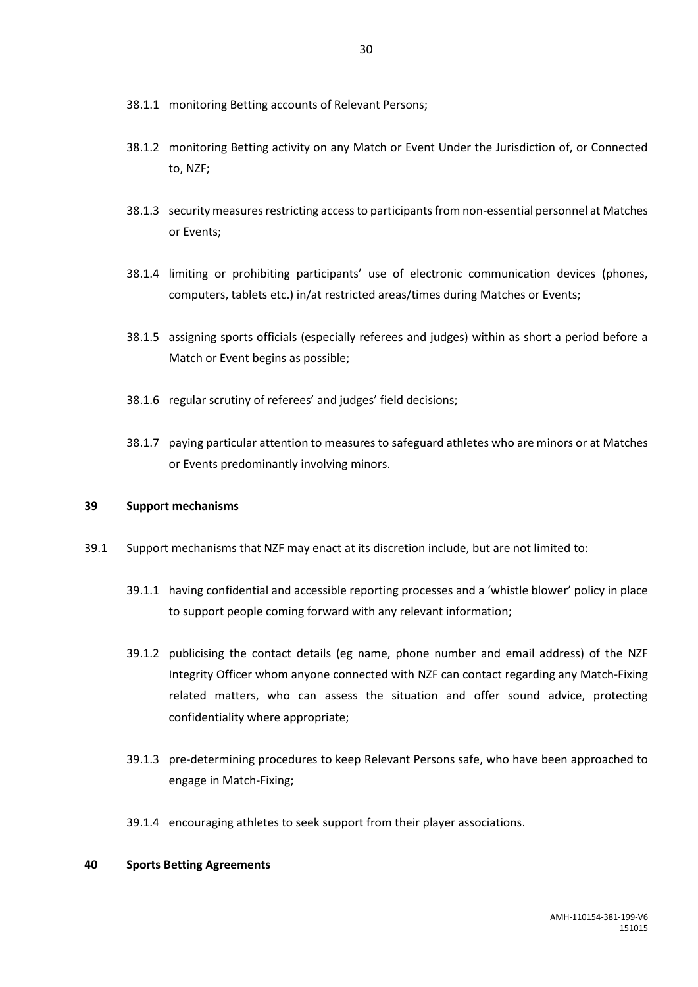- 38.1.1 monitoring Betting accounts of Relevant Persons;
- 38.1.2 monitoring Betting activity on any Match or Event Under the Jurisdiction of, or Connected to, NZF;
- 38.1.3 security measures restricting access to participants from non-essential personnel at Matches or Events;
- 38.1.4 limiting or prohibiting participants' use of electronic communication devices (phones, computers, tablets etc.) in/at restricted areas/times during Matches or Events;
- 38.1.5 assigning sports officials (especially referees and judges) within as short a period before a Match or Event begins as possible;
- 38.1.6 regular scrutiny of referees' and judges' field decisions;
- 38.1.7 paying particular attention to measures to safeguard athletes who are minors or at Matches or Events predominantly involving minors.

### <span id="page-32-0"></span>**39 Suppo**r**t mechanisms**

- 39.1 Support mechanisms that NZF may enact at its discretion include, but are not limited to:
	- 39.1.1 having confidential and accessible reporting processes and a 'whistle blower' policy in place to support people coming forward with any relevant information;
	- 39.1.2 publicising the contact details (eg name, phone number and email address) of the NZF Integrity Officer whom anyone connected with NZF can contact regarding any Match-Fixing related matters, who can assess the situation and offer sound advice, protecting confidentiality where appropriate;
	- 39.1.3 pre-determining procedures to keep Relevant Persons safe, who have been approached to engage in Match-Fixing;
	- 39.1.4 encouraging athletes to seek support from their player associations.

### <span id="page-32-1"></span>**40 Sports Betting Agreements**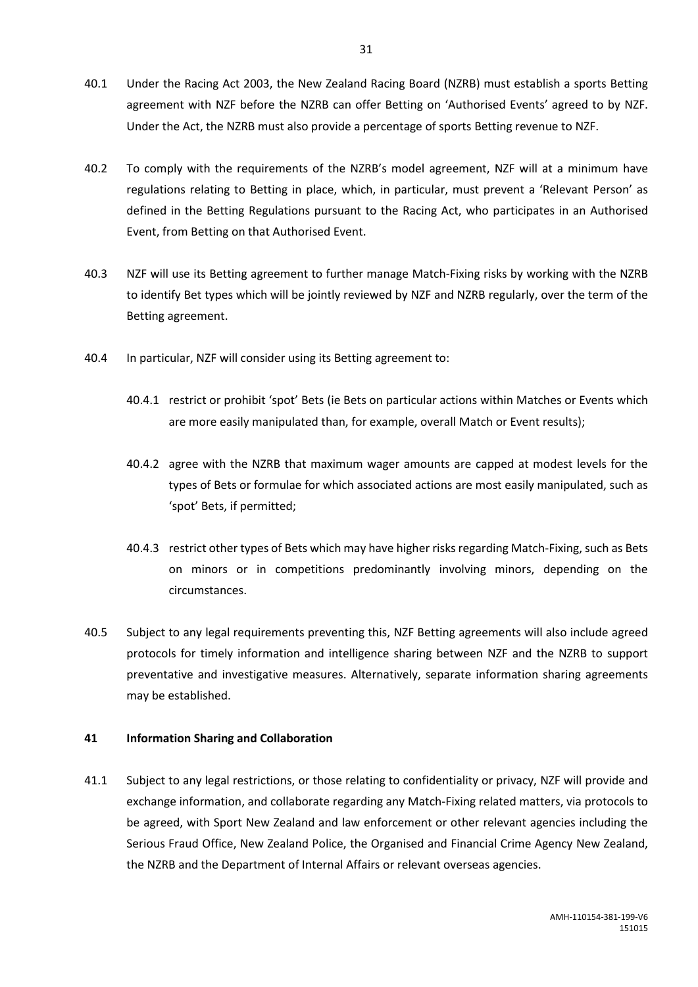- 40.1 Under the Racing Act 2003, the New Zealand Racing Board (NZRB) must establish a sports Betting agreement with NZF before the NZRB can offer Betting on 'Authorised Events' agreed to by NZF. Under the Act, the NZRB must also provide a percentage of sports Betting revenue to NZF.
- 40.2 To comply with the requirements of the NZRB's model agreement, NZF will at a minimum have regulations relating to Betting in place, which, in particular, must prevent a 'Relevant Person' as defined in the Betting Regulations pursuant to the Racing Act, who participates in an Authorised Event, from Betting on that Authorised Event.
- 40.3 NZF will use its Betting agreement to further manage Match-Fixing risks by working with the NZRB to identify Bet types which will be jointly reviewed by NZF and NZRB regularly, over the term of the Betting agreement.
- 40.4 In particular, NZF will consider using its Betting agreement to:
	- 40.4.1 restrict or prohibit 'spot' Bets (ie Bets on particular actions within Matches or Events which are more easily manipulated than, for example, overall Match or Event results);
	- 40.4.2 agree with the NZRB that maximum wager amounts are capped at modest levels for the types of Bets or formulae for which associated actions are most easily manipulated, such as 'spot' Bets, if permitted;
	- 40.4.3 restrict other types of Bets which may have higher risks regarding Match-Fixing, such as Bets on minors or in competitions predominantly involving minors, depending on the circumstances.
- 40.5 Subject to any legal requirements preventing this, NZF Betting agreements will also include agreed protocols for timely information and intelligence sharing between NZF and the NZRB to support preventative and investigative measures. Alternatively, separate information sharing agreements may be established.

### <span id="page-33-0"></span>**41 Information Sharing and Collaboration**

41.1 Subject to any legal restrictions, or those relating to confidentiality or privacy, NZF will provide and exchange information, and collaborate regarding any Match-Fixing related matters, via protocols to be agreed, with Sport New Zealand and law enforcement or other relevant agencies including the Serious Fraud Office, New Zealand Police, the Organised and Financial Crime Agency New Zealand, the NZRB and the Department of Internal Affairs or relevant overseas agencies.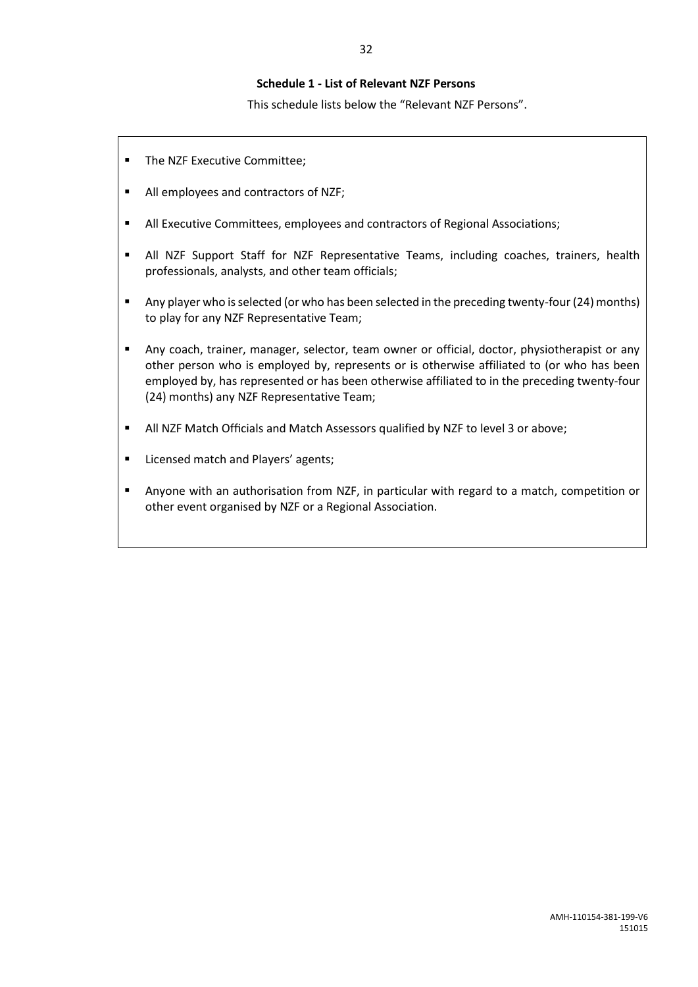### **Schedule 1 - List of Relevant NZF Persons**

This schedule lists below the "Relevant NZF Persons".

- **The NZF Executive Committee;**
- All employees and contractors of NZF;
- All Executive Committees, employees and contractors of Regional Associations;
- All NZF Support Staff for NZF Representative Teams, including coaches, trainers, health professionals, analysts, and other team officials;
- Any player who is selected (or who has been selected in the preceding twenty-four (24) months) to play for any NZF Representative Team;
- Any coach, trainer, manager, selector, team owner or official, doctor, physiotherapist or any other person who is employed by, represents or is otherwise affiliated to (or who has been employed by, has represented or has been otherwise affiliated to in the preceding twenty-four (24) months) any NZF Representative Team;
- All NZF Match Officials and Match Assessors qualified by NZF to level 3 or above;
- **E** Licensed match and Players' agents;
- Anyone with an authorisation from NZF, in particular with regard to a match, competition or other event organised by NZF or a Regional Association.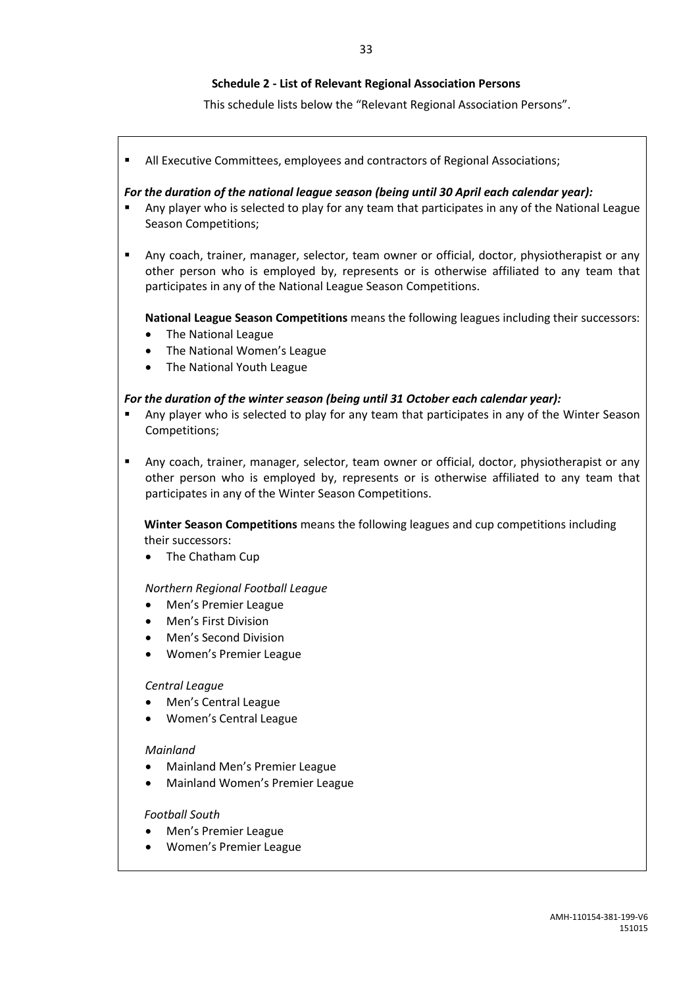### **Schedule 2 - List of Relevant Regional Association Persons**

This schedule lists below the "Relevant Regional Association Persons".

All Executive Committees, employees and contractors of Regional Associations;

#### *For the duration of the national league season (being until 30 April each calendar year):*

- Any player who is selected to play for any team that participates in any of the National League Season Competitions;
- Any coach, trainer, manager, selector, team owner or official, doctor, physiotherapist or any other person who is employed by, represents or is otherwise affiliated to any team that participates in any of the National League Season Competitions.

**National League Season Competitions** means the following leagues including their successors:

- The National League
- The National Women's League
- The National Youth League

#### *For the duration of the winter season (being until 31 October each calendar year):*

- Any player who is selected to play for any team that participates in any of the Winter Season Competitions;
- Any coach, trainer, manager, selector, team owner or official, doctor, physiotherapist or any other person who is employed by, represents or is otherwise affiliated to any team that participates in any of the Winter Season Competitions.

**Winter Season Competitions** means the following leagues and cup competitions including their successors:

The Chatham Cup

*Northern Regional Football League*

- Men's Premier League
- Men's First Division
- Men's Second Division
- Women's Premier League

#### *Central League*

- Men's Central League
- Women's Central League

#### *Mainland*

- Mainland Men's Premier League
- Mainland Women's Premier League

#### *Football South*

- Men's Premier League
- Women's Premier League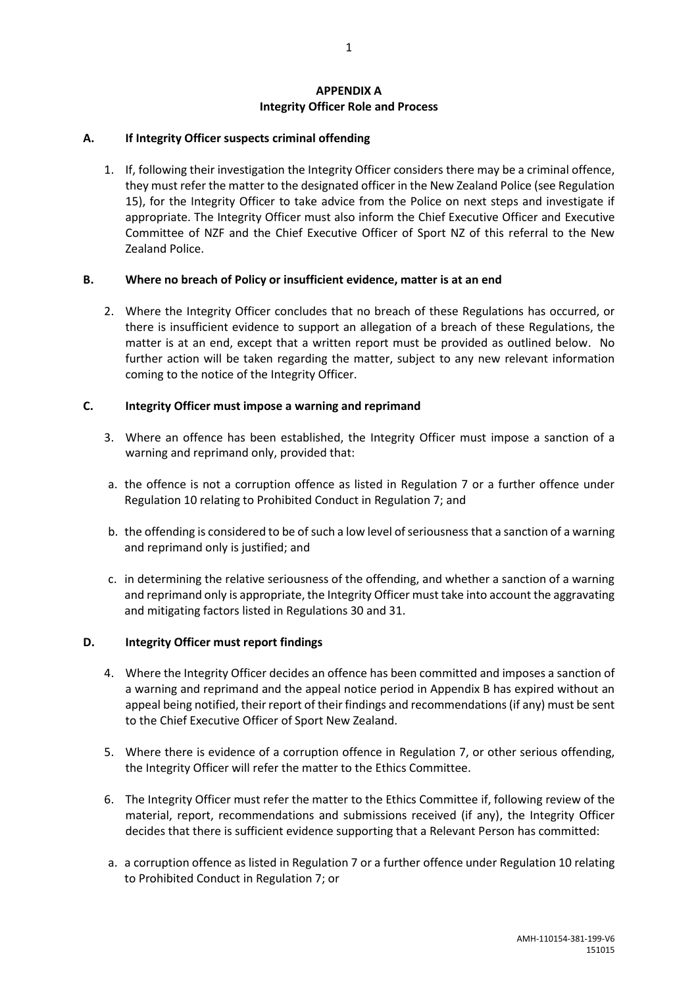### **APPENDIX A Integrity Officer Role and Process**

### **A. If Integrity Officer suspects criminal offending**

1. If, following their investigation the Integrity Officer considers there may be a criminal offence, they must refer the matter to the designated officer in the New Zealand Police (see Regulation 15), for the Integrity Officer to take advice from the Police on next steps and investigate if appropriate. The Integrity Officer must also inform the Chief Executive Officer and Executive Committee of NZF and the Chief Executive Officer of Sport NZ of this referral to the New Zealand Police.

### **B. Where no breach of Policy or insufficient evidence, matter is at an end**

2. Where the Integrity Officer concludes that no breach of these Regulations has occurred, or there is insufficient evidence to support an allegation of a breach of these Regulations, the matter is at an end, except that a written report must be provided as outlined below. No further action will be taken regarding the matter, subject to any new relevant information coming to the notice of the Integrity Officer.

### **C. Integrity Officer must impose a warning and reprimand**

- 3. Where an offence has been established, the Integrity Officer must impose a sanction of a warning and reprimand only, provided that:
- a. the offence is not a corruption offence as listed in Regulation 7 or a further offence under Regulation 10 relating to Prohibited Conduct in Regulation 7; and
- b. the offending is considered to be of such a low level of seriousness that a sanction of a warning and reprimand only is justified; and
- c. in determining the relative seriousness of the offending, and whether a sanction of a warning and reprimand only is appropriate, the Integrity Officer must take into account the aggravating and mitigating factors listed in Regulations 30 and 31.

### **D. Integrity Officer must report findings**

- 4. Where the Integrity Officer decides an offence has been committed and imposes a sanction of a warning and reprimand and the appeal notice period in Appendix B has expired without an appeal being notified, their report of their findings and recommendations (if any) must be sent to the Chief Executive Officer of Sport New Zealand.
- 5. Where there is evidence of a corruption offence in Regulation 7, or other serious offending, the Integrity Officer will refer the matter to the Ethics Committee.
- 6. The Integrity Officer must refer the matter to the Ethics Committee if, following review of the material, report, recommendations and submissions received (if any), the Integrity Officer decides that there is sufficient evidence supporting that a Relevant Person has committed:
- a. a corruption offence as listed in Regulation 7 or a further offence under Regulation 10 relating to Prohibited Conduct in Regulation 7; or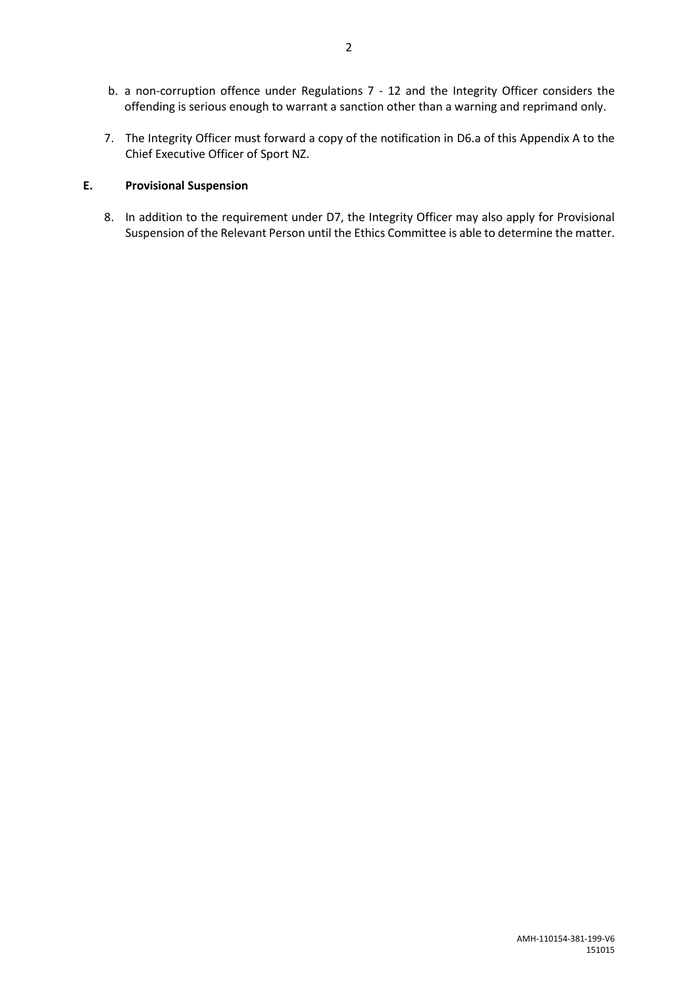- b. a non-corruption offence under Regulations 7 12 and the Integrity Officer considers the offending is serious enough to warrant a sanction other than a warning and reprimand only.
- 7. The Integrity Officer must forward a copy of the notification in D6.a of this Appendix A to the Chief Executive Officer of Sport NZ.

### **E. Provisional Suspension**

8. In addition to the requirement under D7, the Integrity Officer may also apply for Provisional Suspension of the Relevant Person until the Ethics Committee is able to determine the matter.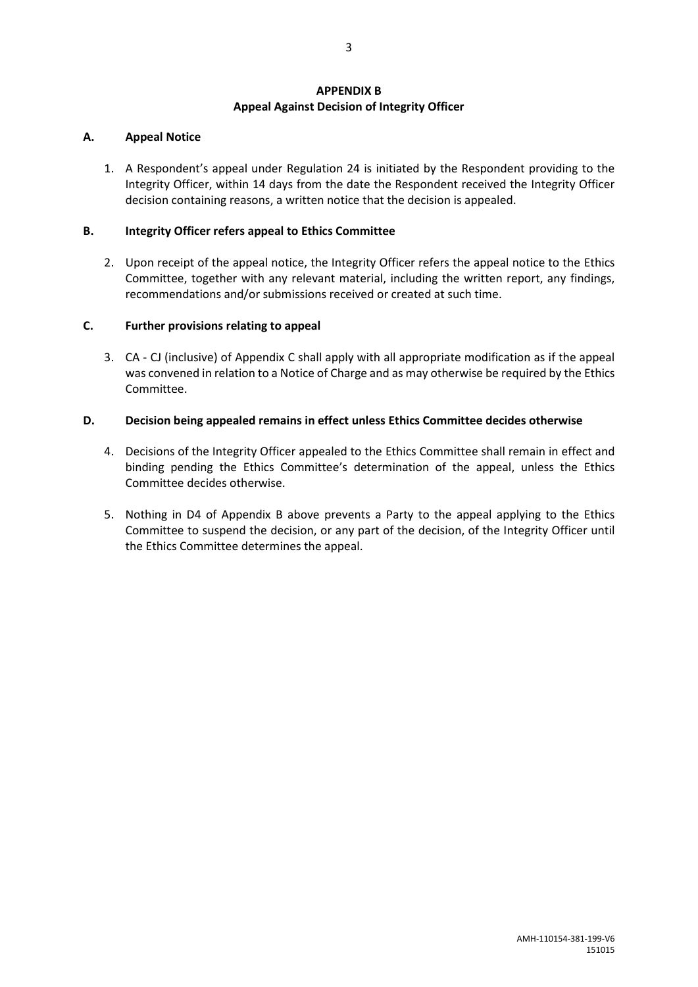### **APPENDIX B Appeal Against Decision of Integrity Officer**

### **A. Appeal Notice**

1. A Respondent's appeal under Regulation 24 is initiated by the Respondent providing to the Integrity Officer, within 14 days from the date the Respondent received the Integrity Officer decision containing reasons, a written notice that the decision is appealed.

### **B. Integrity Officer refers appeal to Ethics Committee**

2. Upon receipt of the appeal notice, the Integrity Officer refers the appeal notice to the Ethics Committee, together with any relevant material, including the written report, any findings, recommendations and/or submissions received or created at such time.

### **C. Further provisions relating to appeal**

3. CA - CJ (inclusive) of Appendix C shall apply with all appropriate modification as if the appeal was convened in relation to a Notice of Charge and as may otherwise be required by the Ethics Committee.

### **D. Decision being appealed remains in effect unless Ethics Committee decides otherwise**

- 4. Decisions of the Integrity Officer appealed to the Ethics Committee shall remain in effect and binding pending the Ethics Committee's determination of the appeal, unless the Ethics Committee decides otherwise.
- 5. Nothing in D4 of Appendix B above prevents a Party to the appeal applying to the Ethics Committee to suspend the decision, or any part of the decision, of the Integrity Officer until the Ethics Committee determines the appeal.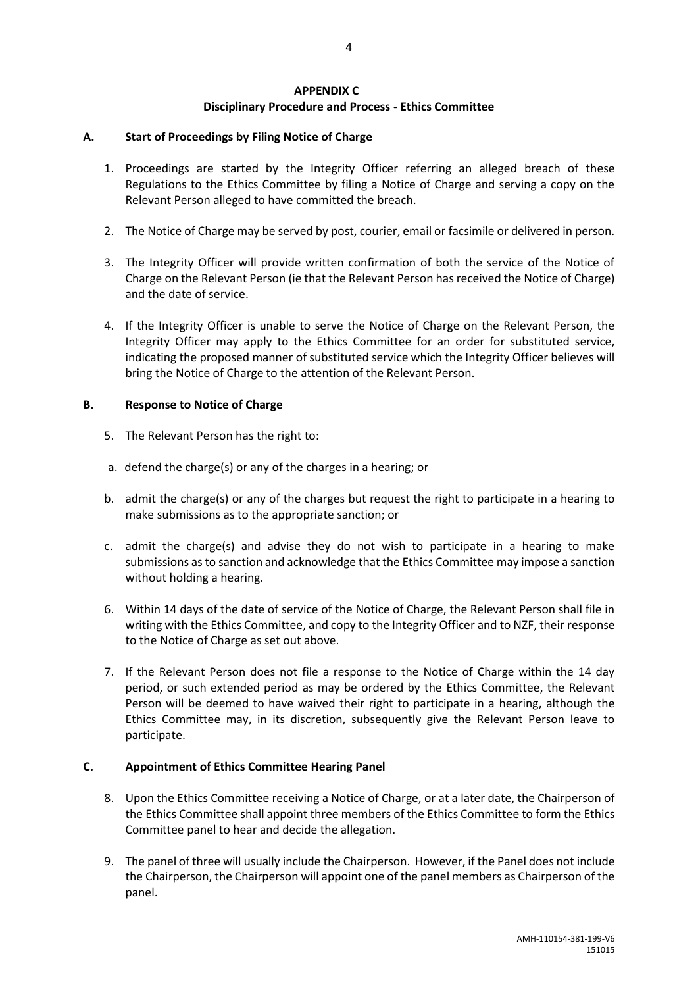### **APPENDIX C**

### **Disciplinary Procedure and Process - Ethics Committee**

### **A. Start of Proceedings by Filing Notice of Charge**

- 1. Proceedings are started by the Integrity Officer referring an alleged breach of these Regulations to the Ethics Committee by filing a Notice of Charge and serving a copy on the Relevant Person alleged to have committed the breach.
- 2. The Notice of Charge may be served by post, courier, email or facsimile or delivered in person.
- 3. The Integrity Officer will provide written confirmation of both the service of the Notice of Charge on the Relevant Person (ie that the Relevant Person has received the Notice of Charge) and the date of service.
- 4. If the Integrity Officer is unable to serve the Notice of Charge on the Relevant Person, the Integrity Officer may apply to the Ethics Committee for an order for substituted service, indicating the proposed manner of substituted service which the Integrity Officer believes will bring the Notice of Charge to the attention of the Relevant Person.

### **B. Response to Notice of Charge**

- 5. The Relevant Person has the right to:
- a. defend the charge(s) or any of the charges in a hearing; or
- b. admit the charge(s) or any of the charges but request the right to participate in a hearing to make submissions as to the appropriate sanction; or
- c. admit the charge(s) and advise they do not wish to participate in a hearing to make submissions as to sanction and acknowledge that the Ethics Committee may impose a sanction without holding a hearing.
- 6. Within 14 days of the date of service of the Notice of Charge, the Relevant Person shall file in writing with the Ethics Committee, and copy to the Integrity Officer and to NZF, their response to the Notice of Charge as set out above.
- 7. If the Relevant Person does not file a response to the Notice of Charge within the 14 day period, or such extended period as may be ordered by the Ethics Committee, the Relevant Person will be deemed to have waived their right to participate in a hearing, although the Ethics Committee may, in its discretion, subsequently give the Relevant Person leave to participate.

### **C. Appointment of Ethics Committee Hearing Panel**

- 8. Upon the Ethics Committee receiving a Notice of Charge, or at a later date, the Chairperson of the Ethics Committee shall appoint three members of the Ethics Committee to form the Ethics Committee panel to hear and decide the allegation.
- 9. The panel of three will usually include the Chairperson. However, if the Panel does not include the Chairperson, the Chairperson will appoint one of the panel members as Chairperson of the panel.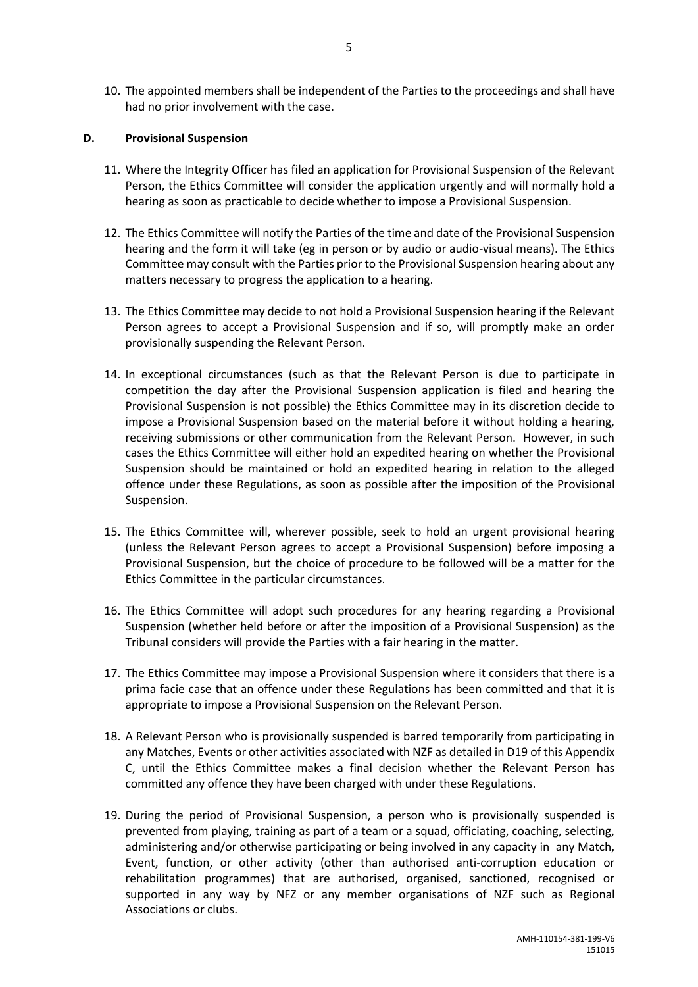10. The appointed members shall be independent of the Parties to the proceedings and shall have had no prior involvement with the case.

### **D. Provisional Suspension**

- 11. Where the Integrity Officer has filed an application for Provisional Suspension of the Relevant Person, the Ethics Committee will consider the application urgently and will normally hold a hearing as soon as practicable to decide whether to impose a Provisional Suspension.
- 12. The Ethics Committee will notify the Parties of the time and date of the Provisional Suspension hearing and the form it will take (eg in person or by audio or audio-visual means). The Ethics Committee may consult with the Parties prior to the Provisional Suspension hearing about any matters necessary to progress the application to a hearing.
- 13. The Ethics Committee may decide to not hold a Provisional Suspension hearing if the Relevant Person agrees to accept a Provisional Suspension and if so, will promptly make an order provisionally suspending the Relevant Person.
- 14. In exceptional circumstances (such as that the Relevant Person is due to participate in competition the day after the Provisional Suspension application is filed and hearing the Provisional Suspension is not possible) the Ethics Committee may in its discretion decide to impose a Provisional Suspension based on the material before it without holding a hearing, receiving submissions or other communication from the Relevant Person. However, in such cases the Ethics Committee will either hold an expedited hearing on whether the Provisional Suspension should be maintained or hold an expedited hearing in relation to the alleged offence under these Regulations, as soon as possible after the imposition of the Provisional Suspension.
- 15. The Ethics Committee will, wherever possible, seek to hold an urgent provisional hearing (unless the Relevant Person agrees to accept a Provisional Suspension) before imposing a Provisional Suspension, but the choice of procedure to be followed will be a matter for the Ethics Committee in the particular circumstances.
- 16. The Ethics Committee will adopt such procedures for any hearing regarding a Provisional Suspension (whether held before or after the imposition of a Provisional Suspension) as the Tribunal considers will provide the Parties with a fair hearing in the matter.
- 17. The Ethics Committee may impose a Provisional Suspension where it considers that there is a prima facie case that an offence under these Regulations has been committed and that it is appropriate to impose a Provisional Suspension on the Relevant Person.
- 18. A Relevant Person who is provisionally suspended is barred temporarily from participating in any Matches, Events or other activities associated with NZF as detailed in D19 of this Appendix C, until the Ethics Committee makes a final decision whether the Relevant Person has committed any offence they have been charged with under these Regulations.
- 19. During the period of Provisional Suspension, a person who is provisionally suspended is prevented from playing, training as part of a team or a squad, officiating, coaching, selecting, administering and/or otherwise participating or being involved in any capacity in any Match, Event, function, or other activity (other than authorised anti-corruption education or rehabilitation programmes) that are authorised, organised, sanctioned, recognised or supported in any way by NFZ or any member organisations of NZF such as Regional Associations or clubs.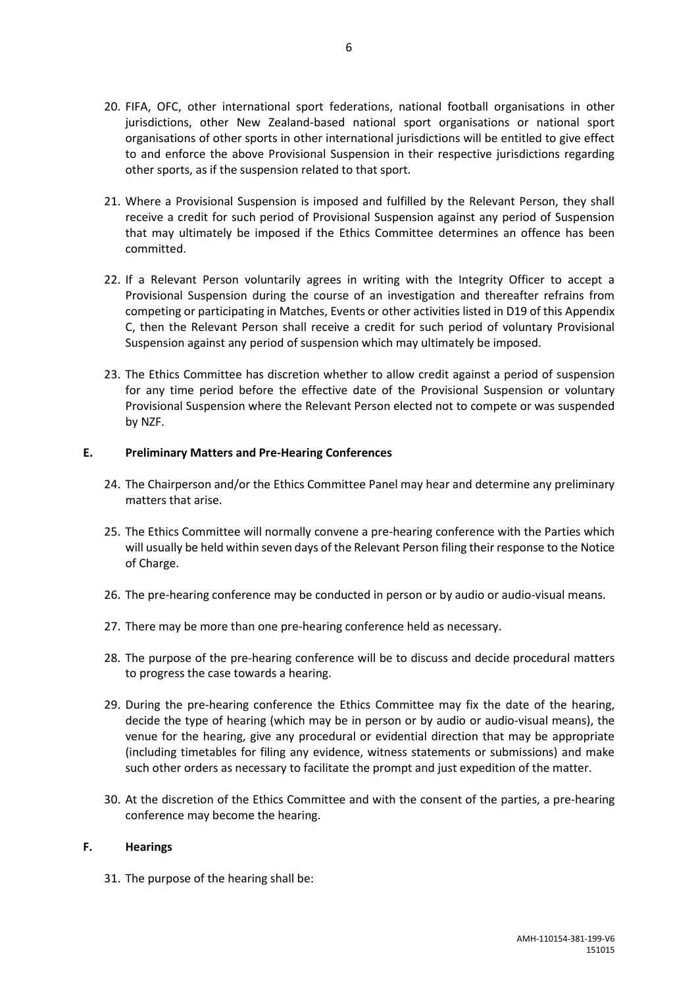- 20. FIFA, OFC, other international sport federations, national football organisations in other jurisdictions, other New Zealand-based national sport organisations or national sport organisations of other sports in other international jurisdictions will be entitled to give effect to and enforce the above Provisional Suspension in their respective jurisdictions regarding other sports, as if the suspension related to that sport.
- 21. Where a Provisional Suspension is imposed and fulfilled by the Relevant Person, they shall receive a credit for such period of Provisional Suspension against any period of Suspension that may ultimately be imposed if the Ethics Committee determines an offence has been committed.
- 22. If a Relevant Person voluntarily agrees in writing with the Integrity Officer to accept a Provisional Suspension during the course of an investigation and thereafter refrains from competing or participating in Matches, Events or other activities listed in D19 of this Appendix C, then the Relevant Person shall receive a credit for such period of voluntary Provisional Suspension against any period of suspension which may ultimately be imposed.
- 23. The Ethics Committee has discretion whether to allow credit against a period of suspension for any time period before the effective date of the Provisional Suspension or voluntary Provisional Suspension where the Relevant Person elected not to compete or was suspended by NZF.

### **E. Preliminary Matters and Pre-Hearing Conferences**

- 24. The Chairperson and/or the Ethics Committee Panel may hear and determine any preliminary matters that arise.
- 25. The Ethics Committee will normally convene a pre-hearing conference with the Parties which will usually be held within seven days of the Relevant Person filing their response to the Notice of Charge.
- 26. The pre-hearing conference may be conducted in person or by audio or audio-visual means.
- 27. There may be more than one pre-hearing conference held as necessary.
- 28. The purpose of the pre-hearing conference will be to discuss and decide procedural matters to progress the case towards a hearing.
- 29. During the pre-hearing conference the Ethics Committee may fix the date of the hearing, decide the type of hearing (which may be in person or by audio or audio-visual means), the venue for the hearing, give any procedural or evidential direction that may be appropriate (including timetables for filing any evidence, witness statements or submissions) and make such other orders as necessary to facilitate the prompt and just expedition of the matter.
- 30. At the discretion of the Ethics Committee and with the consent of the parties, a pre-hearing conference may become the hearing.

#### **F. Hearings**

31. The purpose of the hearing shall be: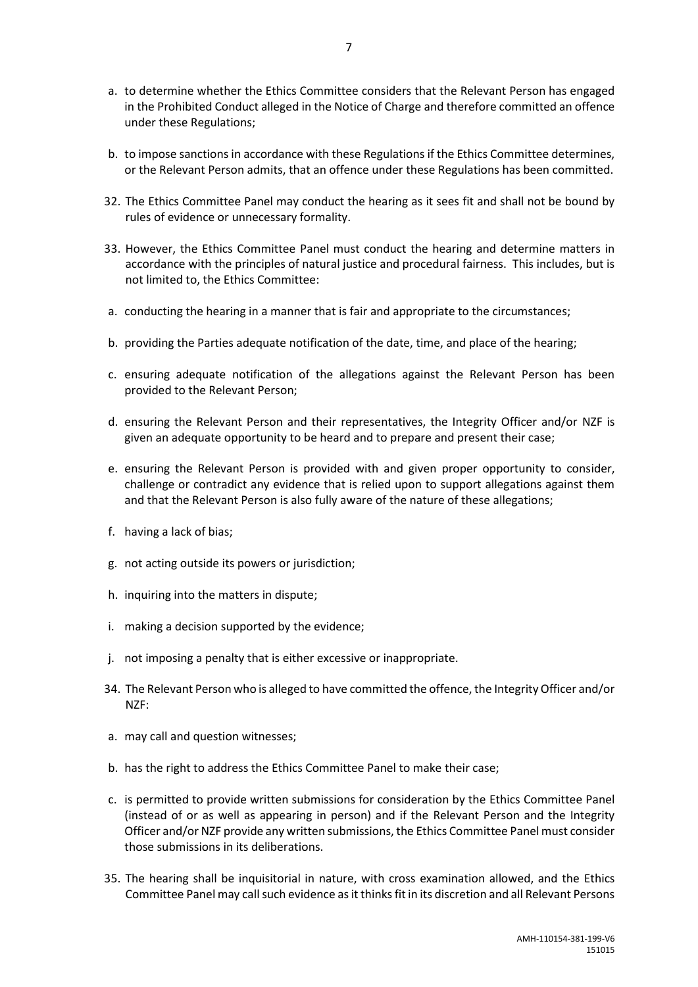- a. to determine whether the Ethics Committee considers that the Relevant Person has engaged in the Prohibited Conduct alleged in the Notice of Charge and therefore committed an offence under these Regulations;
- b. to impose sanctions in accordance with these Regulations if the Ethics Committee determines, or the Relevant Person admits, that an offence under these Regulations has been committed.
- 32. The Ethics Committee Panel may conduct the hearing as it sees fit and shall not be bound by rules of evidence or unnecessary formality.
- 33. However, the Ethics Committee Panel must conduct the hearing and determine matters in accordance with the principles of natural justice and procedural fairness. This includes, but is not limited to, the Ethics Committee:
- a. conducting the hearing in a manner that is fair and appropriate to the circumstances;
- b. providing the Parties adequate notification of the date, time, and place of the hearing;
- c. ensuring adequate notification of the allegations against the Relevant Person has been provided to the Relevant Person;
- d. ensuring the Relevant Person and their representatives, the Integrity Officer and/or NZF is given an adequate opportunity to be heard and to prepare and present their case;
- e. ensuring the Relevant Person is provided with and given proper opportunity to consider, challenge or contradict any evidence that is relied upon to support allegations against them and that the Relevant Person is also fully aware of the nature of these allegations;
- f. having a lack of bias;
- g. not acting outside its powers or jurisdiction;
- h. inquiring into the matters in dispute;
- i. making a decision supported by the evidence;
- j. not imposing a penalty that is either excessive or inappropriate.
- 34. The Relevant Person who is alleged to have committed the offence, the Integrity Officer and/or NZF:
- a. may call and question witnesses;
- b. has the right to address the Ethics Committee Panel to make their case;
- c. is permitted to provide written submissions for consideration by the Ethics Committee Panel (instead of or as well as appearing in person) and if the Relevant Person and the Integrity Officer and/or NZF provide any written submissions, the Ethics Committee Panel must consider those submissions in its deliberations.
- 35. The hearing shall be inquisitorial in nature, with cross examination allowed, and the Ethics Committee Panel may call such evidence as it thinks fit in its discretion and all Relevant Persons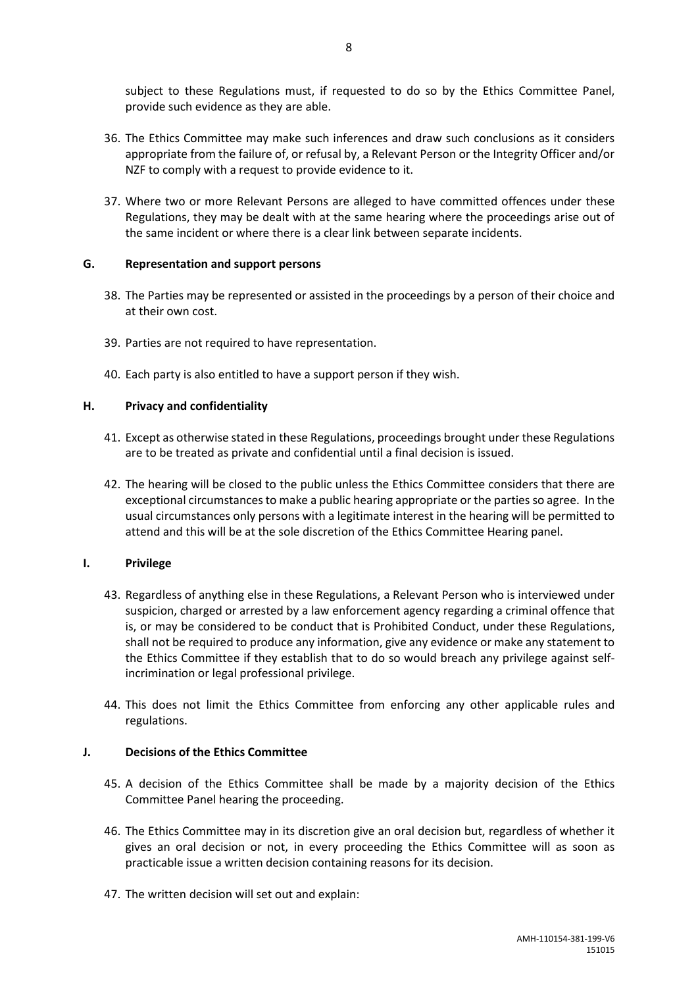subject to these Regulations must, if requested to do so by the Ethics Committee Panel, provide such evidence as they are able.

- 36. The Ethics Committee may make such inferences and draw such conclusions as it considers appropriate from the failure of, or refusal by, a Relevant Person or the Integrity Officer and/or NZF to comply with a request to provide evidence to it.
- 37. Where two or more Relevant Persons are alleged to have committed offences under these Regulations, they may be dealt with at the same hearing where the proceedings arise out of the same incident or where there is a clear link between separate incidents.

### **G. Representation and support persons**

- 38. The Parties may be represented or assisted in the proceedings by a person of their choice and at their own cost.
- 39. Parties are not required to have representation.
- 40. Each party is also entitled to have a support person if they wish.

### **H. Privacy and confidentiality**

- 41. Except as otherwise stated in these Regulations, proceedings brought under these Regulations are to be treated as private and confidential until a final decision is issued.
- 42. The hearing will be closed to the public unless the Ethics Committee considers that there are exceptional circumstances to make a public hearing appropriate or the parties so agree. In the usual circumstances only persons with a legitimate interest in the hearing will be permitted to attend and this will be at the sole discretion of the Ethics Committee Hearing panel.

### **I. Privilege**

- 43. Regardless of anything else in these Regulations, a Relevant Person who is interviewed under suspicion, charged or arrested by a law enforcement agency regarding a criminal offence that is, or may be considered to be conduct that is Prohibited Conduct, under these Regulations, shall not be required to produce any information, give any evidence or make any statement to the Ethics Committee if they establish that to do so would breach any privilege against selfincrimination or legal professional privilege.
- 44. This does not limit the Ethics Committee from enforcing any other applicable rules and regulations.

### **J. Decisions of the Ethics Committee**

- 45. A decision of the Ethics Committee shall be made by a majority decision of the Ethics Committee Panel hearing the proceeding.
- 46. The Ethics Committee may in its discretion give an oral decision but, regardless of whether it gives an oral decision or not, in every proceeding the Ethics Committee will as soon as practicable issue a written decision containing reasons for its decision.
- 47. The written decision will set out and explain: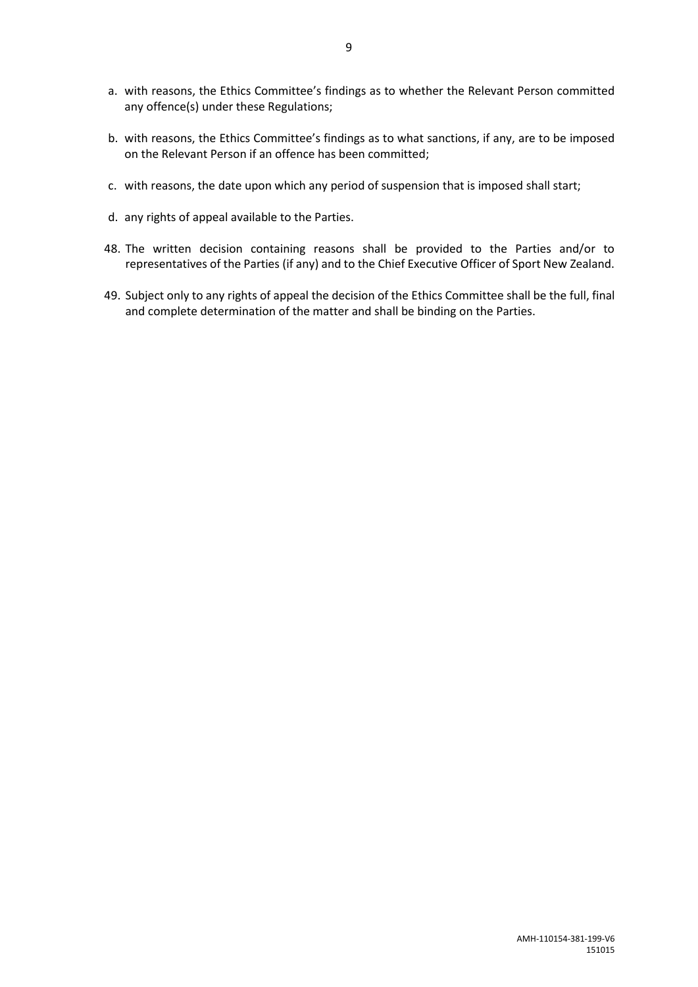- a. with reasons, the Ethics Committee's findings as to whether the Relevant Person committed any offence(s) under these Regulations;
- b. with reasons, the Ethics Committee's findings as to what sanctions, if any, are to be imposed on the Relevant Person if an offence has been committed;
- c. with reasons, the date upon which any period of suspension that is imposed shall start;
- d. any rights of appeal available to the Parties.
- 48. The written decision containing reasons shall be provided to the Parties and/or to representatives of the Parties (if any) and to the Chief Executive Officer of Sport New Zealand.
- 49. Subject only to any rights of appeal the decision of the Ethics Committee shall be the full, final and complete determination of the matter and shall be binding on the Parties.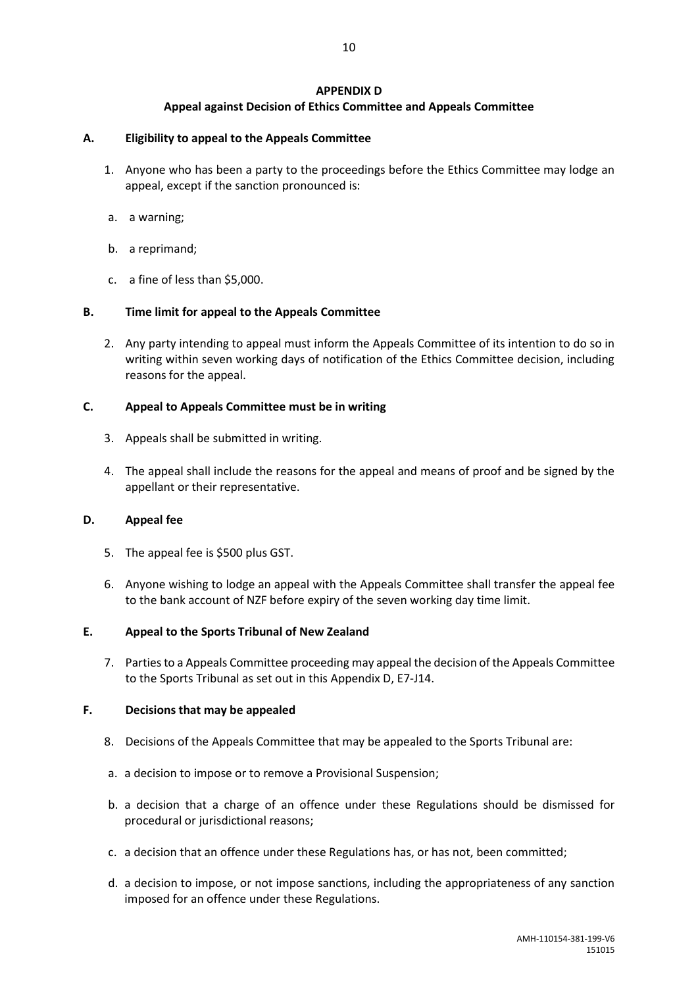### **APPENDIX D Appeal against Decision of Ethics Committee and Appeals Committee**

### **A. Eligibility to appeal to the Appeals Committee**

- 1. Anyone who has been a party to the proceedings before the Ethics Committee may lodge an appeal, except if the sanction pronounced is:
- a. a warning;
- b. a reprimand;
- c. a fine of less than \$5,000.

### **B. Time limit for appeal to the Appeals Committee**

2. Any party intending to appeal must inform the Appeals Committee of its intention to do so in writing within seven working days of notification of the Ethics Committee decision, including reasons for the appeal.

### **C. Appeal to Appeals Committee must be in writing**

- 3. Appeals shall be submitted in writing.
- 4. The appeal shall include the reasons for the appeal and means of proof and be signed by the appellant or their representative.

### **D. Appeal fee**

- 5. The appeal fee is \$500 plus GST.
- 6. Anyone wishing to lodge an appeal with the Appeals Committee shall transfer the appeal fee to the bank account of NZF before expiry of the seven working day time limit.

### **E. Appeal to the Sports Tribunal of New Zealand**

7. Parties to a Appeals Committee proceeding may appeal the decision of the Appeals Committee to the Sports Tribunal as set out in this Appendix D, E7-J14.

### **F. Decisions that may be appealed**

- 8. Decisions of the Appeals Committee that may be appealed to the Sports Tribunal are:
- a. a decision to impose or to remove a Provisional Suspension;
- b. a decision that a charge of an offence under these Regulations should be dismissed for procedural or jurisdictional reasons;
- c. a decision that an offence under these Regulations has, or has not, been committed;
- d. a decision to impose, or not impose sanctions, including the appropriateness of any sanction imposed for an offence under these Regulations.